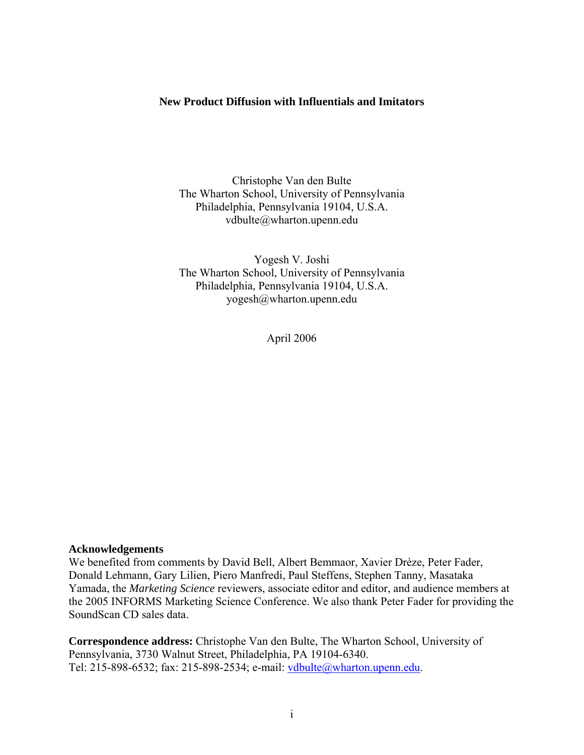# **New Product Diffusion with Influentials and Imitators**

Christophe Van den Bulte The Wharton School, University of Pennsylvania Philadelphia, Pennsylvania 19104, U.S.A. vdbulte@wharton.upenn.edu

Yogesh V. Joshi The Wharton School, University of Pennsylvania Philadelphia, Pennsylvania 19104, U.S.A. yogesh@wharton.upenn.edu

April 2006

#### **Acknowledgements**

We benefited from comments by David Bell, Albert Bemmaor, Xavier Drèze, Peter Fader, Donald Lehmann, Gary Lilien, Piero Manfredi, Paul Steffens, Stephen Tanny, Masataka Yamada, the *Marketing Science* reviewers, associate editor and editor, and audience members at the 2005 INFORMS Marketing Science Conference. We also thank Peter Fader for providing the SoundScan CD sales data.

**Correspondence address:** Christophe Van den Bulte, The Wharton School, University of Pennsylvania, 3730 Walnut Street, Philadelphia, PA 19104-6340. Tel: 215-898-6532; fax: 215-898-2534; e-mail: vdbulte@wharton.upenn.edu.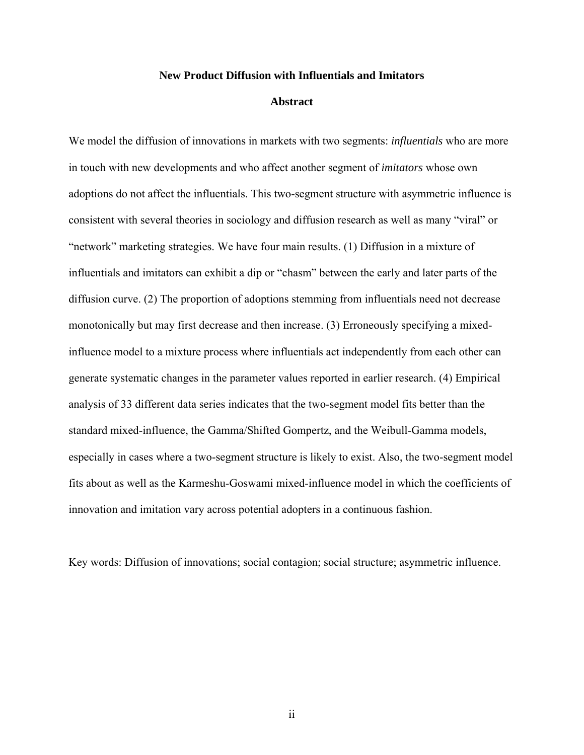#### **New Product Diffusion with Influentials and Imitators**

#### **Abstract**

We model the diffusion of innovations in markets with two segments: *influentials* who are more in touch with new developments and who affect another segment of *imitators* whose own adoptions do not affect the influentials. This two-segment structure with asymmetric influence is consistent with several theories in sociology and diffusion research as well as many "viral" or "network" marketing strategies. We have four main results. (1) Diffusion in a mixture of influentials and imitators can exhibit a dip or "chasm" between the early and later parts of the diffusion curve. (2) The proportion of adoptions stemming from influentials need not decrease monotonically but may first decrease and then increase. (3) Erroneously specifying a mixedinfluence model to a mixture process where influentials act independently from each other can generate systematic changes in the parameter values reported in earlier research. (4) Empirical analysis of 33 different data series indicates that the two-segment model fits better than the standard mixed-influence, the Gamma/Shifted Gompertz, and the Weibull-Gamma models, especially in cases where a two-segment structure is likely to exist. Also, the two-segment model fits about as well as the Karmeshu-Goswami mixed-influence model in which the coefficients of innovation and imitation vary across potential adopters in a continuous fashion.

Key words: Diffusion of innovations; social contagion; social structure; asymmetric influence.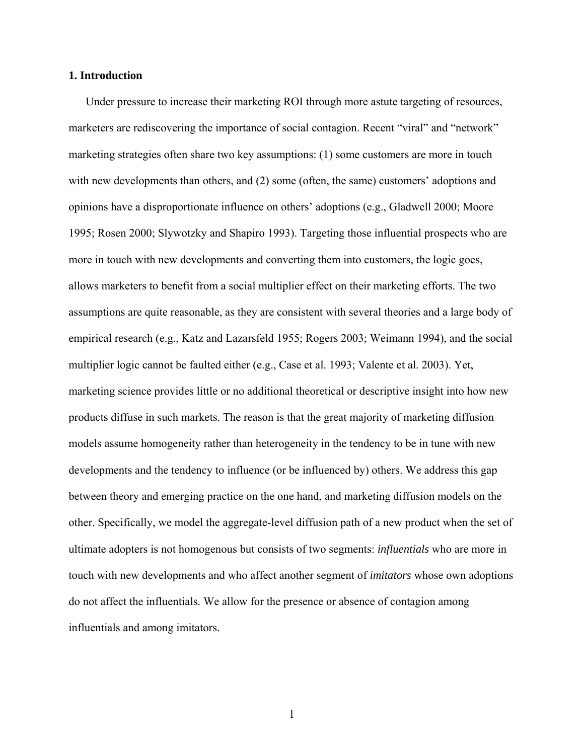### **1. Introduction**

Under pressure to increase their marketing ROI through more astute targeting of resources, marketers are rediscovering the importance of social contagion. Recent "viral" and "network" marketing strategies often share two key assumptions: (1) some customers are more in touch with new developments than others, and (2) some (often, the same) customers' adoptions and opinions have a disproportionate influence on others' adoptions (e.g., Gladwell 2000; Moore 1995; Rosen 2000; Slywotzky and Shapiro 1993). Targeting those influential prospects who are more in touch with new developments and converting them into customers, the logic goes, allows marketers to benefit from a social multiplier effect on their marketing efforts. The two assumptions are quite reasonable, as they are consistent with several theories and a large body of empirical research (e.g., Katz and Lazarsfeld 1955; Rogers 2003; Weimann 1994), and the social multiplier logic cannot be faulted either (e.g., Case et al. 1993; Valente et al. 2003). Yet, marketing science provides little or no additional theoretical or descriptive insight into how new products diffuse in such markets. The reason is that the great majority of marketing diffusion models assume homogeneity rather than heterogeneity in the tendency to be in tune with new developments and the tendency to influence (or be influenced by) others. We address this gap between theory and emerging practice on the one hand, and marketing diffusion models on the other. Specifically, we model the aggregate-level diffusion path of a new product when the set of ultimate adopters is not homogenous but consists of two segments: *influentials* who are more in touch with new developments and who affect another segment of *imitators* whose own adoptions do not affect the influentials. We allow for the presence or absence of contagion among influentials and among imitators.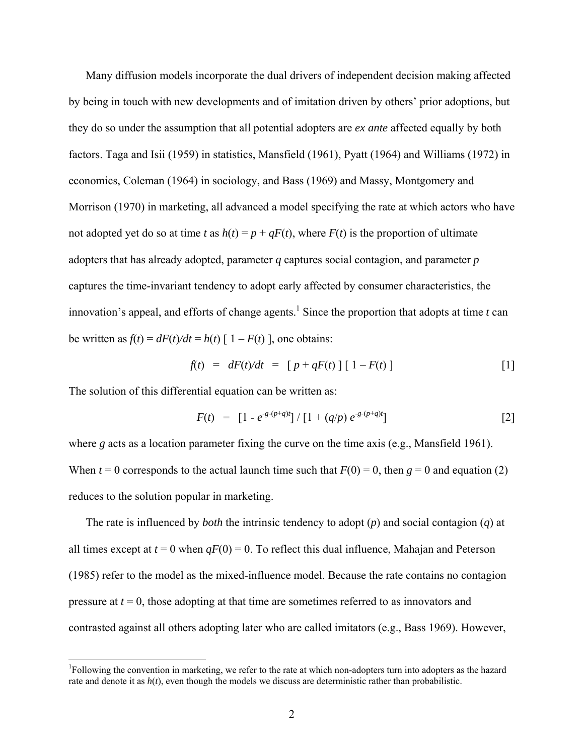Many diffusion models incorporate the dual drivers of independent decision making affected by being in touch with new developments and of imitation driven by others' prior adoptions, but they do so under the assumption that all potential adopters are *ex ante* affected equally by both factors. Taga and Isii (1959) in statistics, Mansfield (1961), Pyatt (1964) and Williams (1972) in economics, Coleman (1964) in sociology, and Bass (1969) and Massy, Montgomery and Morrison (1970) in marketing, all advanced a model specifying the rate at which actors who have not adopted yet do so at time *t* as  $h(t) = p + qF(t)$ , where  $F(t)$  is the proportion of ultimate adopters that has already adopted, parameter *q* captures social contagion, and parameter *p* captures the time-invariant tendency to adopt early affected by consumer characteristics, the innovation's appeal, and efforts of change agents.<sup>1</sup> Since the proportion that adopts at time  $t$  can be written as  $f(t) = dF(t)/dt = h(t) [1 - F(t)]$ , one obtains:

$$
f(t) = dF(t)/dt = [p + qF(t)] [1 - F(t)] \qquad [1]
$$

The solution of this differential equation can be written as:

 $\overline{a}$ 

$$
F(t) = [1 - e^{-g - (p+q)t}] / [1 + (q/p) e^{-g - (p+q)t}]
$$
 [2]

where *g* acts as a location parameter fixing the curve on the time axis (e.g., Mansfield 1961). When  $t = 0$  corresponds to the actual launch time such that  $F(0) = 0$ , then  $g = 0$  and equation (2) reduces to the solution popular in marketing.

The rate is influenced by *both* the intrinsic tendency to adopt (*p*) and social contagion (*q*) at all times except at  $t = 0$  when  $qF(0) = 0$ . To reflect this dual influence, Mahajan and Peterson (1985) refer to the model as the mixed-influence model. Because the rate contains no contagion pressure at *t* = 0, those adopting at that time are sometimes referred to as innovators and contrasted against all others adopting later who are called imitators (e.g., Bass 1969). However,

<sup>&</sup>lt;sup>1</sup>Following the convention in marketing, we refer to the rate at which non-adopters turn into adopters as the hazard rate and denote it as *h*(*t*), even though the models we discuss are deterministic rather than probabilistic.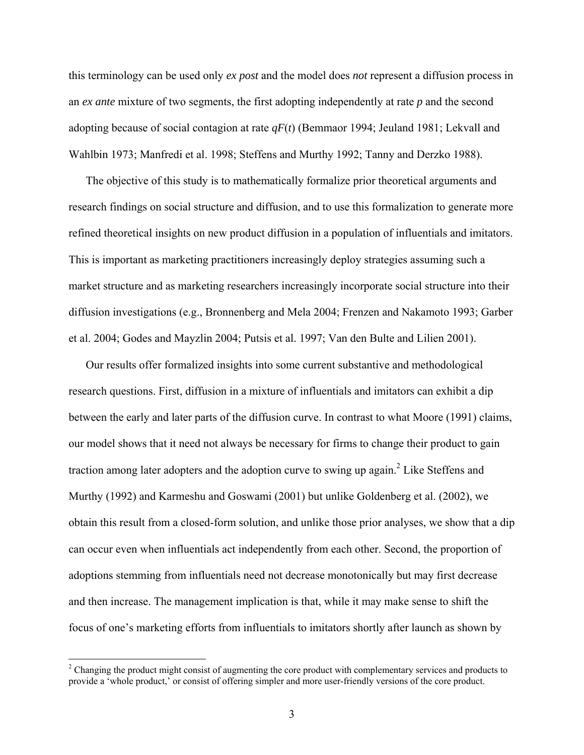this terminology can be used only *ex post* and the model does *not* represent a diffusion process in an *ex ante* mixture of two segments, the first adopting independently at rate *p* and the second adopting because of social contagion at rate *qF*(*t*) (Bemmaor 1994; Jeuland 1981; Lekvall and Wahlbin 1973; Manfredi et al. 1998; Steffens and Murthy 1992; Tanny and Derzko 1988).

The objective of this study is to mathematically formalize prior theoretical arguments and research findings on social structure and diffusion, and to use this formalization to generate more refined theoretical insights on new product diffusion in a population of influentials and imitators. This is important as marketing practitioners increasingly deploy strategies assuming such a market structure and as marketing researchers increasingly incorporate social structure into their diffusion investigations (e.g., Bronnenberg and Mela 2004; Frenzen and Nakamoto 1993; Garber et al. 2004; Godes and Mayzlin 2004; Putsis et al. 1997; Van den Bulte and Lilien 2001).

Our results offer formalized insights into some current substantive and methodological research questions. First, diffusion in a mixture of influentials and imitators can exhibit a dip between the early and later parts of the diffusion curve. In contrast to what Moore (1991) claims, our model shows that it need not always be necessary for firms to change their product to gain traction among later adopters and the adoption curve to swing up again.<sup>2</sup> Like Steffens and Murthy (1992) and Karmeshu and Goswami (2001) but unlike Goldenberg et al. (2002), we obtain this result from a closed-form solution, and unlike those prior analyses, we show that a dip can occur even when influentials act independently from each other. Second, the proportion of adoptions stemming from influentials need not decrease monotonically but may first decrease and then increase. The management implication is that, while it may make sense to shift the focus of one's marketing efforts from influentials to imitators shortly after launch as shown by

 $\overline{a}$ 

 $2^2$  Changing the product might consist of augmenting the core product with complementary services and products to provide a 'whole product,' or consist of offering simpler and more user-friendly versions of the core product.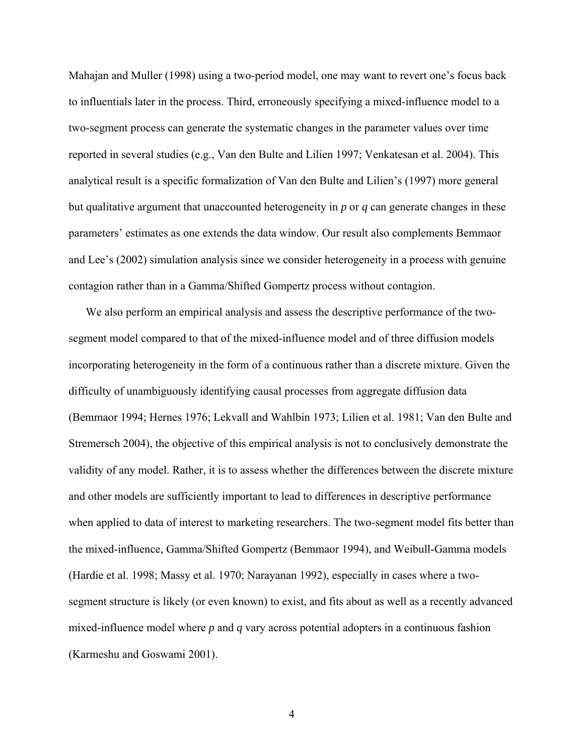Mahajan and Muller (1998) using a two-period model, one may want to revert one's focus back to influentials later in the process. Third, erroneously specifying a mixed-influence model to a two-segment process can generate the systematic changes in the parameter values over time reported in several studies (e.g., Van den Bulte and Lilien 1997; Venkatesan et al. 2004). This analytical result is a specific formalization of Van den Bulte and Lilien's (1997) more general but qualitative argument that unaccounted heterogeneity in *p* or *q* can generate changes in these parameters' estimates as one extends the data window. Our result also complements Bemmaor and Lee's (2002) simulation analysis since we consider heterogeneity in a process with genuine contagion rather than in a Gamma/Shifted Gompertz process without contagion.

We also perform an empirical analysis and assess the descriptive performance of the twosegment model compared to that of the mixed-influence model and of three diffusion models incorporating heterogeneity in the form of a continuous rather than a discrete mixture. Given the difficulty of unambiguously identifying causal processes from aggregate diffusion data (Bemmaor 1994; Hernes 1976; Lekvall and Wahlbin 1973; Lilien et al. 1981; Van den Bulte and Stremersch 2004), the objective of this empirical analysis is not to conclusively demonstrate the validity of any model. Rather, it is to assess whether the differences between the discrete mixture and other models are sufficiently important to lead to differences in descriptive performance when applied to data of interest to marketing researchers. The two-segment model fits better than the mixed-influence, Gamma/Shifted Gompertz (Bemmaor 1994), and Weibull-Gamma models (Hardie et al. 1998; Massy et al. 1970; Narayanan 1992), especially in cases where a twosegment structure is likely (or even known) to exist, and fits about as well as a recently advanced mixed-influence model where *p* and *q* vary across potential adopters in a continuous fashion (Karmeshu and Goswami 2001).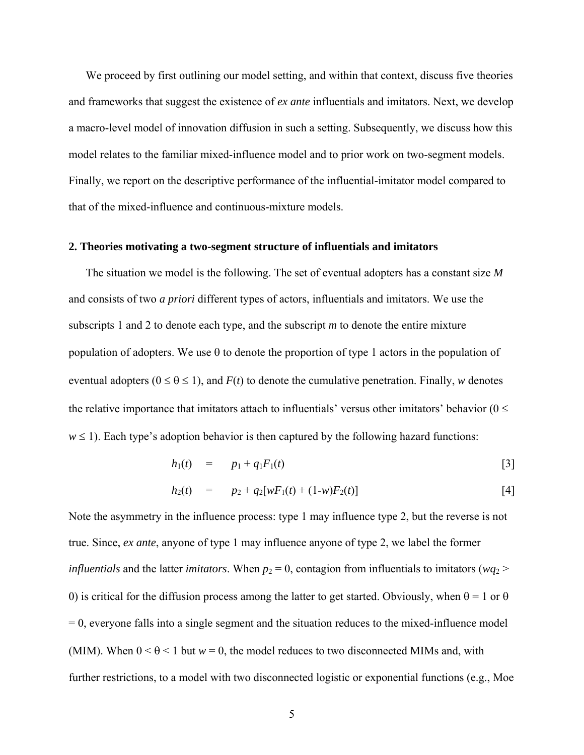We proceed by first outlining our model setting, and within that context, discuss five theories and frameworks that suggest the existence of *ex ante* influentials and imitators. Next, we develop a macro-level model of innovation diffusion in such a setting. Subsequently, we discuss how this model relates to the familiar mixed-influence model and to prior work on two-segment models. Finally, we report on the descriptive performance of the influential-imitator model compared to that of the mixed-influence and continuous-mixture models.

### **2. Theories motivating a two-segment structure of influentials and imitators**

The situation we model is the following. The set of eventual adopters has a constant size *M* and consists of two *a priori* different types of actors, influentials and imitators. We use the subscripts 1 and 2 to denote each type, and the subscript *m* to denote the entire mixture population of adopters. We use  $\theta$  to denote the proportion of type 1 actors in the population of eventual adopters ( $0 \le \theta \le 1$ ), and  $F(t)$  to denote the cumulative penetration. Finally, *w* denotes the relative importance that imitators attach to influentials' versus other imitators' behavior ( $0 \le$  $w \le 1$ ). Each type's adoption behavior is then captured by the following hazard functions:

$$
h_1(t) = p_1 + q_1 F_1(t) \tag{3}
$$

$$
h_2(t) = p_2 + q_2[wF_1(t) + (1-w)F_2(t)] \tag{4}
$$

Note the asymmetry in the influence process: type 1 may influence type 2, but the reverse is not true. Since, *ex ante*, anyone of type 1 may influence anyone of type 2, we label the former *influentials* and the latter *imitators*. When  $p_2 = 0$ , contagion from influentials to imitators ( $wq_2$ ) 0) is critical for the diffusion process among the latter to get started. Obviously, when  $\theta = 1$  or  $\theta$  $= 0$ , everyone falls into a single segment and the situation reduces to the mixed-influence model (MIM). When  $0 < \theta < 1$  but  $w = 0$ , the model reduces to two disconnected MIMs and, with further restrictions, to a model with two disconnected logistic or exponential functions (e.g., Moe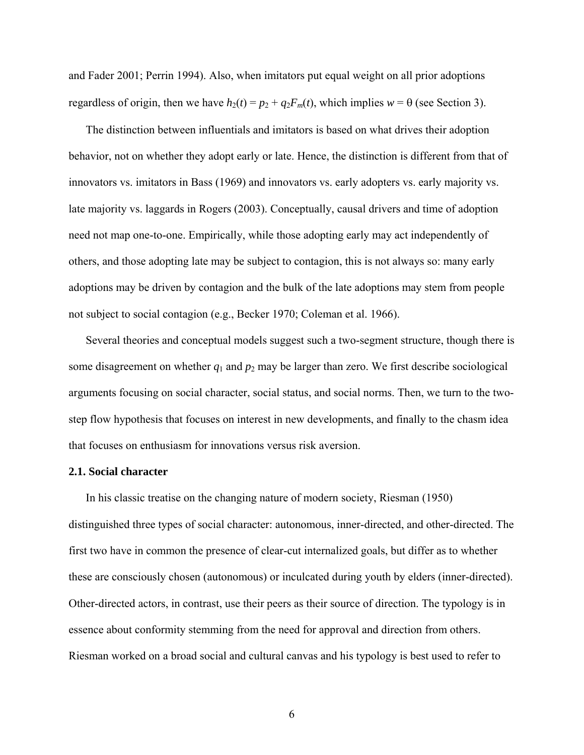and Fader 2001; Perrin 1994). Also, when imitators put equal weight on all prior adoptions regardless of origin, then we have  $h_2(t) = p_2 + q_2 F_m(t)$ , which implies  $w = \theta$  (see Section 3).

The distinction between influentials and imitators is based on what drives their adoption behavior, not on whether they adopt early or late. Hence, the distinction is different from that of innovators vs. imitators in Bass (1969) and innovators vs. early adopters vs. early majority vs. late majority vs. laggards in Rogers (2003). Conceptually, causal drivers and time of adoption need not map one-to-one. Empirically, while those adopting early may act independently of others, and those adopting late may be subject to contagion, this is not always so: many early adoptions may be driven by contagion and the bulk of the late adoptions may stem from people not subject to social contagion (e.g., Becker 1970; Coleman et al. 1966).

Several theories and conceptual models suggest such a two-segment structure, though there is some disagreement on whether  $q_1$  and  $p_2$  may be larger than zero. We first describe sociological arguments focusing on social character, social status, and social norms. Then, we turn to the twostep flow hypothesis that focuses on interest in new developments, and finally to the chasm idea that focuses on enthusiasm for innovations versus risk aversion.

### **2.1. Social character**

In his classic treatise on the changing nature of modern society, Riesman (1950) distinguished three types of social character: autonomous, inner-directed, and other-directed. The first two have in common the presence of clear-cut internalized goals, but differ as to whether these are consciously chosen (autonomous) or inculcated during youth by elders (inner-directed). Other-directed actors, in contrast, use their peers as their source of direction. The typology is in essence about conformity stemming from the need for approval and direction from others. Riesman worked on a broad social and cultural canvas and his typology is best used to refer to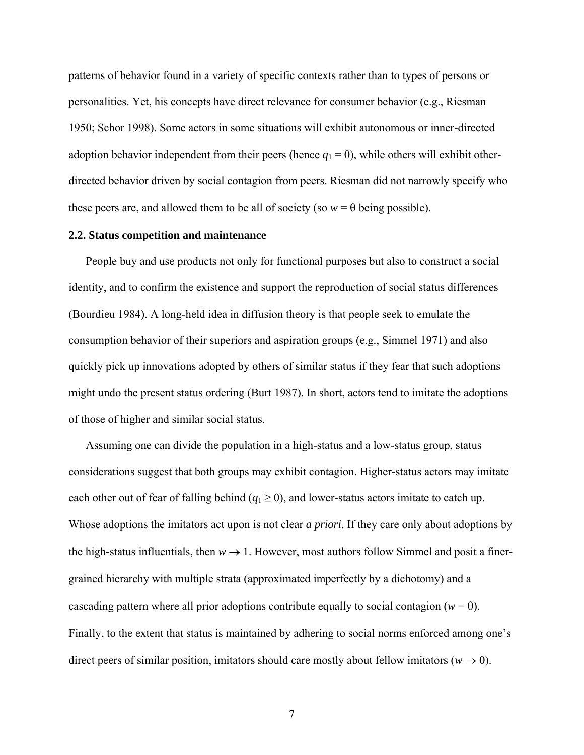patterns of behavior found in a variety of specific contexts rather than to types of persons or personalities. Yet, his concepts have direct relevance for consumer behavior (e.g., Riesman 1950; Schor 1998). Some actors in some situations will exhibit autonomous or inner-directed adoption behavior independent from their peers (hence  $q_1 = 0$ ), while others will exhibit otherdirected behavior driven by social contagion from peers. Riesman did not narrowly specify who these peers are, and allowed them to be all of society (so  $w = \theta$  being possible).

### **2.2. Status competition and maintenance**

People buy and use products not only for functional purposes but also to construct a social identity, and to confirm the existence and support the reproduction of social status differences (Bourdieu 1984). A long-held idea in diffusion theory is that people seek to emulate the consumption behavior of their superiors and aspiration groups (e.g., Simmel 1971) and also quickly pick up innovations adopted by others of similar status if they fear that such adoptions might undo the present status ordering (Burt 1987). In short, actors tend to imitate the adoptions of those of higher and similar social status.

Assuming one can divide the population in a high-status and a low-status group, status considerations suggest that both groups may exhibit contagion. Higher-status actors may imitate each other out of fear of falling behind  $(q_1 \ge 0)$ , and lower-status actors imitate to catch up. Whose adoptions the imitators act upon is not clear *a priori*. If they care only about adoptions by the high-status influentials, then  $w \rightarrow 1$ . However, most authors follow Simmel and posit a finergrained hierarchy with multiple strata (approximated imperfectly by a dichotomy) and a cascading pattern where all prior adoptions contribute equally to social contagion ( $w = \theta$ ). Finally, to the extent that status is maintained by adhering to social norms enforced among one's direct peers of similar position, imitators should care mostly about fellow imitators ( $w \rightarrow 0$ ).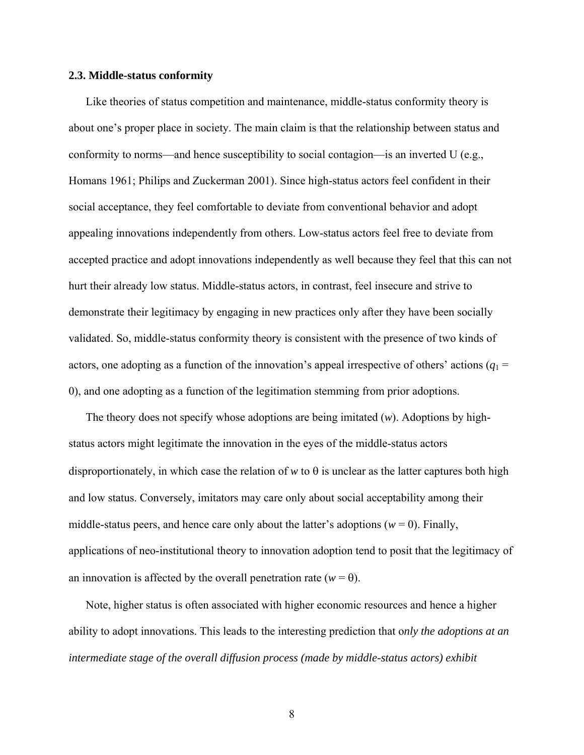### **2.3. Middle-status conformity**

Like theories of status competition and maintenance, middle-status conformity theory is about one's proper place in society. The main claim is that the relationship between status and conformity to norms—and hence susceptibility to social contagion—is an inverted U (e.g., Homans 1961; Philips and Zuckerman 2001). Since high-status actors feel confident in their social acceptance, they feel comfortable to deviate from conventional behavior and adopt appealing innovations independently from others. Low-status actors feel free to deviate from accepted practice and adopt innovations independently as well because they feel that this can not hurt their already low status. Middle-status actors, in contrast, feel insecure and strive to demonstrate their legitimacy by engaging in new practices only after they have been socially validated. So, middle-status conformity theory is consistent with the presence of two kinds of actors, one adopting as a function of the innovation's appeal irrespective of others' actions ( $q_1$  = 0), and one adopting as a function of the legitimation stemming from prior adoptions.

The theory does not specify whose adoptions are being imitated (*w*). Adoptions by highstatus actors might legitimate the innovation in the eyes of the middle-status actors disproportionately, in which case the relation of *w* to  $\theta$  is unclear as the latter captures both high and low status. Conversely, imitators may care only about social acceptability among their middle-status peers, and hence care only about the latter's adoptions ( $w = 0$ ). Finally, applications of neo-institutional theory to innovation adoption tend to posit that the legitimacy of an innovation is affected by the overall penetration rate ( $w = \theta$ ).

Note, higher status is often associated with higher economic resources and hence a higher ability to adopt innovations. This leads to the interesting prediction that o*nly the adoptions at an intermediate stage of the overall diffusion process (made by middle-status actors) exhibit*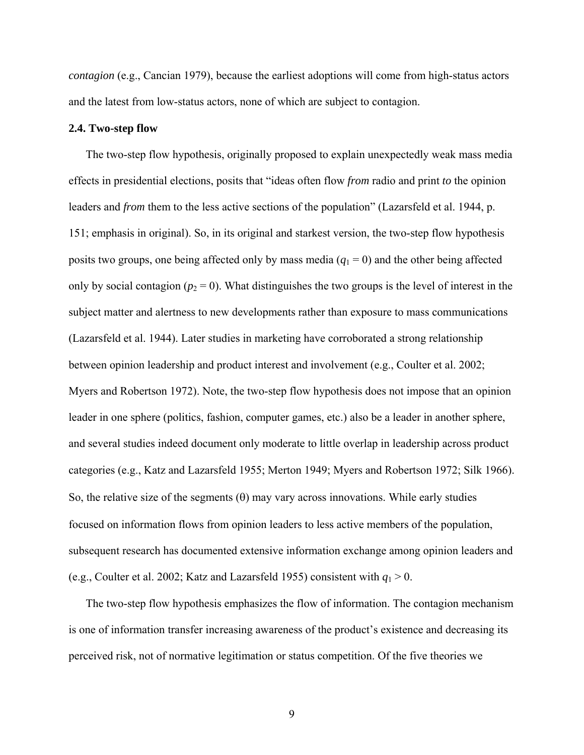*contagion* (e.g., Cancian 1979), because the earliest adoptions will come from high-status actors and the latest from low-status actors, none of which are subject to contagion.

### **2.4. Two-step flow**

The two-step flow hypothesis, originally proposed to explain unexpectedly weak mass media effects in presidential elections, posits that "ideas often flow *from* radio and print *to* the opinion leaders and *from* them to the less active sections of the population" (Lazarsfeld et al. 1944, p. 151; emphasis in original). So, in its original and starkest version, the two-step flow hypothesis posits two groups, one being affected only by mass media  $(q_1 = 0)$  and the other being affected only by social contagion ( $p_2 = 0$ ). What distinguishes the two groups is the level of interest in the subject matter and alertness to new developments rather than exposure to mass communications (Lazarsfeld et al. 1944). Later studies in marketing have corroborated a strong relationship between opinion leadership and product interest and involvement (e.g., Coulter et al. 2002; Myers and Robertson 1972). Note, the two-step flow hypothesis does not impose that an opinion leader in one sphere (politics, fashion, computer games, etc.) also be a leader in another sphere, and several studies indeed document only moderate to little overlap in leadership across product categories (e.g., Katz and Lazarsfeld 1955; Merton 1949; Myers and Robertson 1972; Silk 1966). So, the relative size of the segments  $(\theta)$  may vary across innovations. While early studies focused on information flows from opinion leaders to less active members of the population, subsequent research has documented extensive information exchange among opinion leaders and (e.g., Coulter et al. 2002; Katz and Lazarsfeld 1955) consistent with  $q_1 > 0$ .

The two-step flow hypothesis emphasizes the flow of information. The contagion mechanism is one of information transfer increasing awareness of the product's existence and decreasing its perceived risk, not of normative legitimation or status competition. Of the five theories we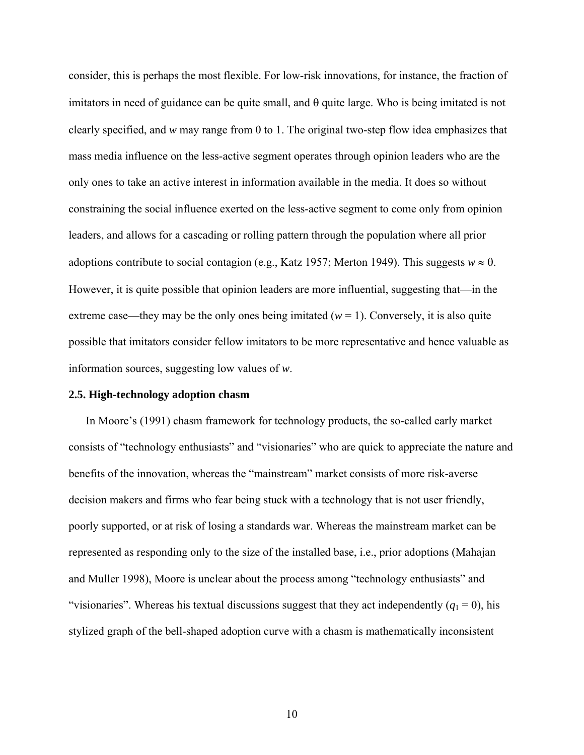consider, this is perhaps the most flexible. For low-risk innovations, for instance, the fraction of imitators in need of guidance can be quite small, and  $\theta$  quite large. Who is being imitated is not clearly specified, and *w* may range from 0 to 1. The original two-step flow idea emphasizes that mass media influence on the less-active segment operates through opinion leaders who are the only ones to take an active interest in information available in the media. It does so without constraining the social influence exerted on the less-active segment to come only from opinion leaders, and allows for a cascading or rolling pattern through the population where all prior adoptions contribute to social contagion (e.g., Katz 1957; Merton 1949). This suggests  $w \approx \theta$ . However, it is quite possible that opinion leaders are more influential, suggesting that—in the extreme case—they may be the only ones being imitated ( $w = 1$ ). Conversely, it is also quite possible that imitators consider fellow imitators to be more representative and hence valuable as information sources, suggesting low values of *w*.

### **2.5. High-technology adoption chasm**

In Moore's (1991) chasm framework for technology products, the so-called early market consists of "technology enthusiasts" and "visionaries" who are quick to appreciate the nature and benefits of the innovation, whereas the "mainstream" market consists of more risk-averse decision makers and firms who fear being stuck with a technology that is not user friendly, poorly supported, or at risk of losing a standards war. Whereas the mainstream market can be represented as responding only to the size of the installed base, i.e., prior adoptions (Mahajan and Muller 1998), Moore is unclear about the process among "technology enthusiasts" and "visionaries". Whereas his textual discussions suggest that they act independently  $(q_1 = 0)$ , his stylized graph of the bell-shaped adoption curve with a chasm is mathematically inconsistent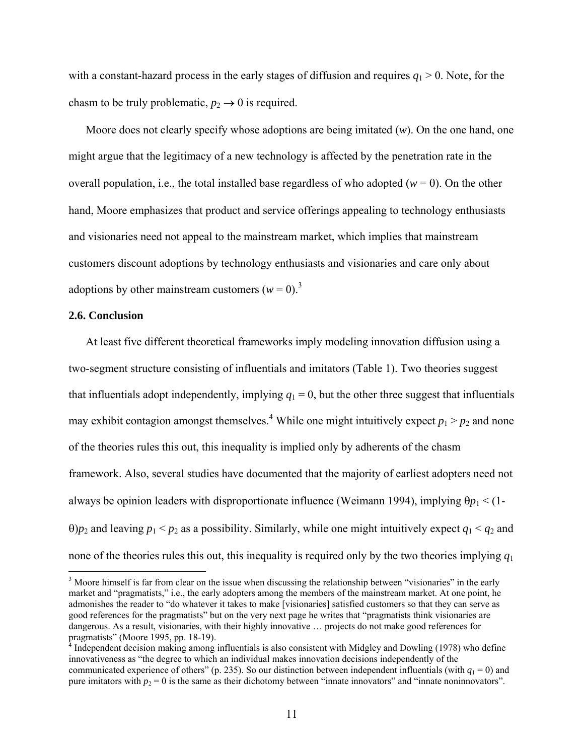with a constant-hazard process in the early stages of diffusion and requires  $q_1 > 0$ . Note, for the chasm to be truly problematic,  $p_2 \rightarrow 0$  is required.

Moore does not clearly specify whose adoptions are being imitated (*w*). On the one hand, one might argue that the legitimacy of a new technology is affected by the penetration rate in the overall population, i.e., the total installed base regardless of who adopted ( $w = \theta$ ). On the other hand, Moore emphasizes that product and service offerings appealing to technology enthusiasts and visionaries need not appeal to the mainstream market, which implies that mainstream customers discount adoptions by technology enthusiasts and visionaries and care only about adoptions by other mainstream customers ( $w = 0$ ).<sup>3</sup>

### **2.6. Conclusion**

1

At least five different theoretical frameworks imply modeling innovation diffusion using a two-segment structure consisting of influentials and imitators (Table 1). Two theories suggest that influentials adopt independently, implying  $q_1 = 0$ , but the other three suggest that influentials may exhibit contagion amongst themselves.<sup>4</sup> While one might intuitively expect  $p_1 > p_2$  and none of the theories rules this out, this inequality is implied only by adherents of the chasm framework. Also, several studies have documented that the majority of earliest adopters need not always be opinion leaders with disproportionate influence (Weimann 1994), implying  $\theta p_1 < (1-\theta)$  $\theta$ ) $p_2$  and leaving  $p_1 < p_2$  as a possibility. Similarly, while one might intuitively expect  $q_1 < q_2$  and none of the theories rules this out, this inequality is required only by the two theories implying *q*<sup>1</sup>

 $3$  Moore himself is far from clear on the issue when discussing the relationship between "visionaries" in the early market and "pragmatists," i.e., the early adopters among the members of the mainstream market. At one point, he admonishes the reader to "do whatever it takes to make [visionaries] satisfied customers so that they can serve as good references for the pragmatists" but on the very next page he writes that "pragmatists think visionaries are dangerous. As a result, visionaries, with their highly innovative … projects do not make good references for

pragmatists" (Moore 1995, pp. 18-19).<br><sup>4</sup> Independent decision making among influentials is also consistent with Midgley and Dowling (1978) who define innovativeness as "the degree to which an individual makes innovation decisions independently of the communicated experience of others" (p. 235). So our distinction between independent influentials (with  $q_1 = 0$ ) and pure imitators with  $p_2 = 0$  is the same as their dichotomy between "innate innovators" and "innate noninnovators".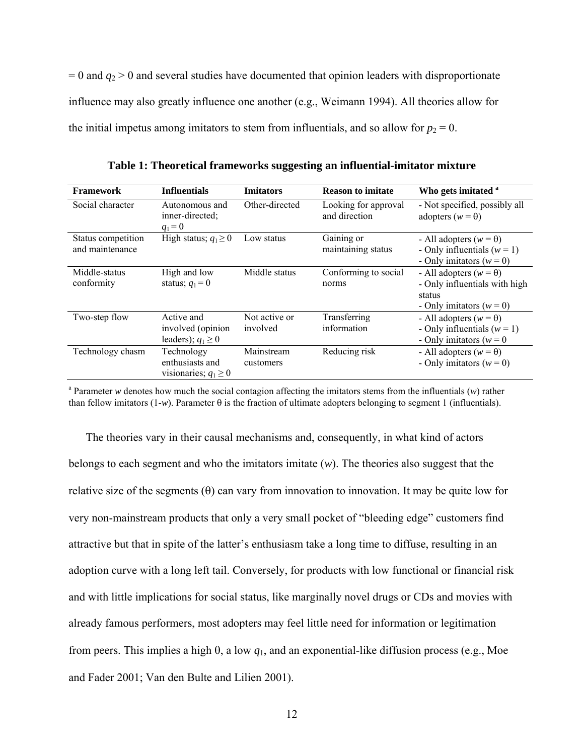$= 0$  and  $q_2 > 0$  and several studies have documented that opinion leaders with disproportionate influence may also greatly influence one another (e.g., Weimann 1994). All theories allow for the initial impetus among imitators to stem from influentials, and so allow for  $p_2 = 0$ .

| <b>Framework</b>                      | <b>Influentials</b>                                       | <b>Imitators</b>          | <b>Reason to imitate</b>              | Who gets imitated <sup>a</sup>                                                                           |  |  |  |  |
|---------------------------------------|-----------------------------------------------------------|---------------------------|---------------------------------------|----------------------------------------------------------------------------------------------------------|--|--|--|--|
| Social character                      | Autonomous and<br>inner-directed;<br>$q_1 = 0$            | Other-directed            | Looking for approval<br>and direction | - Not specified, possibly all<br>adopters $(w = \theta)$                                                 |  |  |  |  |
| Status competition<br>and maintenance | High status; $q_1 \geq 0$                                 | Low status                | Gaining or<br>maintaining status      | - All adopters $(w = \theta)$<br>- Only influentials ( $w = 1$ )<br>- Only imitators ( $w = 0$ )         |  |  |  |  |
| Middle-status<br>conformity           | High and low<br>status; $q_1 = 0$                         | Middle status             | Conforming to social<br>norms         | - All adopters $(w = \theta)$<br>- Only influentials with high<br>status<br>- Only imitators ( $w = 0$ ) |  |  |  |  |
| Two-step flow                         | Active and<br>involved (opinion<br>leaders); $q_1 \ge 0$  | Not active or<br>involved | Transferring<br>information           | - All adopters $(w = \theta)$<br>- Only influentials ( $w = 1$ )<br>- Only imitators ( $w = 0$           |  |  |  |  |
| Technology chasm                      | Technology<br>enthusiasts and<br>visionaries; $q_1 \ge 0$ | Mainstream<br>customers   | Reducing risk                         | - All adopters $(w = \theta)$<br>- Only imitators ( $w = 0$ )                                            |  |  |  |  |

**Table 1: Theoretical frameworks suggesting an influential-imitator mixture** 

 $^{\text{a}}$  Parameter *w* denotes how much the social contagion affecting the imitators stems from the influentials  $(w)$  rather than fellow imitators  $(1-w)$ . Parameter θ is the fraction of ultimate adopters belonging to segment 1 (influentials).

The theories vary in their causal mechanisms and, consequently, in what kind of actors belongs to each segment and who the imitators imitate (*w*). The theories also suggest that the relative size of the segments  $(\theta)$  can vary from innovation to innovation. It may be quite low for very non-mainstream products that only a very small pocket of "bleeding edge" customers find attractive but that in spite of the latter's enthusiasm take a long time to diffuse, resulting in an adoption curve with a long left tail. Conversely, for products with low functional or financial risk and with little implications for social status, like marginally novel drugs or CDs and movies with already famous performers, most adopters may feel little need for information or legitimation from peers. This implies a high θ, a low *q*1, and an exponential-like diffusion process (e.g., Moe and Fader 2001; Van den Bulte and Lilien 2001).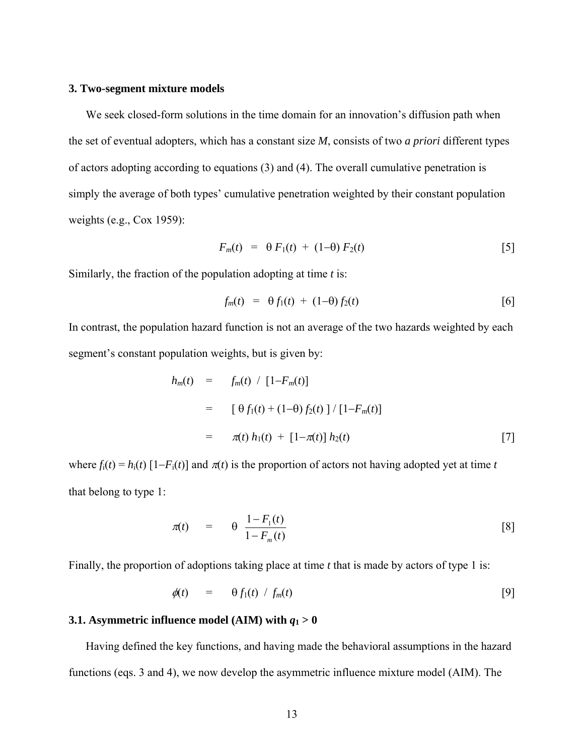### **3. Two-segment mixture models**

We seek closed-form solutions in the time domain for an innovation's diffusion path when the set of eventual adopters, which has a constant size *M*, consists of two *a priori* different types of actors adopting according to equations (3) and (4). The overall cumulative penetration is simply the average of both types' cumulative penetration weighted by their constant population weights (e.g., Cox 1959):

$$
F_m(t) = \theta F_1(t) + (1-\theta) F_2(t) \tag{5}
$$

Similarly, the fraction of the population adopting at time *t* is:

$$
f_m(t) = \theta f_1(t) + (1-\theta)f_2(t) \tag{6}
$$

In contrast, the population hazard function is not an average of the two hazards weighted by each segment's constant population weights, but is given by:

$$
h_m(t) = f_m(t) / [1 - F_m(t)]
$$
  
= 
$$
[\theta f_1(t) + (1 - \theta) f_2(t) ] / [1 - F_m(t)]
$$
  
= 
$$
\pi(t) h_1(t) + [1 - \pi(t)] h_2(t)
$$
 [7]

where  $f_i(t) = h_i(t) [1 - F_i(t)]$  and  $\pi(t)$  is the proportion of actors not having adopted yet at time *t* that belong to type 1:

$$
\pi(t) = \Theta \frac{1 - F_1(t)}{1 - F_m(t)} \tag{8}
$$

Finally, the proportion of adoptions taking place at time *t* that is made by actors of type 1 is:

$$
\phi(t) = \Theta f_1(t) / f_m(t) \tag{9}
$$

### **3.1. Asymmetric influence model (AIM) with**  $q_1 > 0$

Having defined the key functions, and having made the behavioral assumptions in the hazard functions (eqs. 3 and 4), we now develop the asymmetric influence mixture model (AIM). The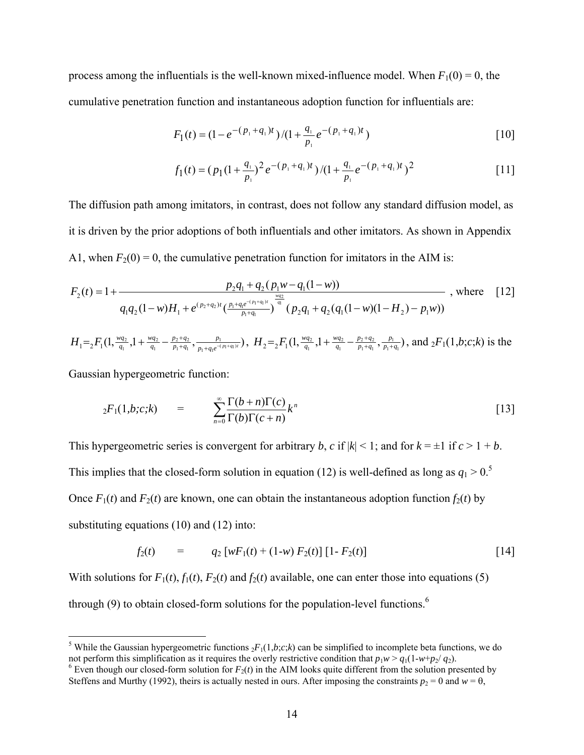process among the influentials is the well-known mixed-influence model. When  $F_1(0) = 0$ , the cumulative penetration function and instantaneous adoption function for influentials are:

$$
F_1(t) = (1 - e^{-(p_1 + q_1)t})/(1 + \frac{q_1}{p_1}e^{-(p_1 + q_1)t})
$$
\n[10]

$$
f_1(t) = (p_1(1+\frac{q_1}{p_1})^2 e^{-(p_1+q_1)t})/(1+\frac{q_1}{p_1}e^{-(p_1+q_1)t})^2
$$
 [11]

The diffusion path among imitators, in contrast, does not follow any standard diffusion model, as it is driven by the prior adoptions of both influentials and other imitators. As shown in Appendix A1, when  $F_2(0) = 0$ , the cumulative penetration function for imitators in the AIM is:

$$
F_2(t) = 1 + \frac{p_2 q_1 + q_2 (p_1 w - q_1 (1 - w))}{q_1 q_2 (1 - w) H_1 + e^{(p_2 + q_2)t} \left(\frac{p_1 + q_1 e^{-(p_1 + q_1)t}}{p_1 + q_1}\right)^{\frac{wq_2}{q_1}} (p_2 q_1 + q_2 (q_1 (1 - w)(1 - H_2) - p_1 w))}, \text{ where } [12]
$$

 $\left(1, \frac{wq_2}{q_1}, 1 + \frac{wq_2}{q_1} - \frac{p_2+q_2}{p_1+q_1}, \frac{p_1}{p_1+q_1e^{-(p_1+q_1)t}}\right)$  $1 + q_1$  $2 - 42$ 1 1  $\sum_{i=1}^{N} P_i(1, \frac{w q_2}{q_1}, 1 + \frac{w q_2}{q_1} - \frac{p_2+q_2}{p_1+q_1}, \frac{p_1}{p_1+q_1 e^{-(p_1+q_1)t}})$ *p*  $p_1 + q$  $p_2 + q$ *q wq*  $H_1 = {}_2F_1(1, \frac{wq_2}{q_1}, 1 + \frac{wq_2}{q_1} - \frac{p_2+q_2}{p_1+q_1}, \frac{p_1}{p_1+q_1e^{-(p_1+q_1)t}}), \ H_2 = {}_2F_1(1, \frac{wq_2}{q_1}, 1 + \frac{wq_2}{q_1} - \frac{p_2+q_2}{p_1+q_1}, \frac{p_1}{p_1+q_1})$  $1 + q_1$  $2 + q_2$ 1 2 1  $\frac{1}{2} = \frac{1}{2} F_1(1, \frac{w q_2}{q_1}, 1 + \frac{w q_2}{q_1} - \frac{p_2 + q_2}{p_1 + q_1}, \frac{p_1}{p_1 + q_2})$ *p*  $p_1 + q$  $p_2 + q$ *q wq*  $H_2 = {}_2F_1(1, \frac{wq_2}{q_1}, 1 + \frac{wq_2}{q_1} - \frac{p_2+q_2}{p_1+q_1}, \frac{p_1}{p_1+q_1})$ , and  ${}_2F_1(1,b;c;k)$  is the

Gaussian hypergeometric function:

$$
{}_{2}F_{1}(1,b;c;k) = \sum_{n=0}^{\infty} \frac{\Gamma(b+n)\Gamma(c)}{\Gamma(b)\Gamma(c+n)} k^{n}
$$
 [13]

This hypergeometric series is convergent for arbitrary *b*, *c* if  $|k|$  < 1; and for  $k = \pm 1$  if  $c > 1 + b$ . This implies that the closed-form solution in equation (12) is well-defined as long as  $q_1 > 0.5$ Once  $F_1(t)$  and  $F_2(t)$  are known, one can obtain the instantaneous adoption function  $f_2(t)$  by substituting equations (10) and (12) into:

$$
f_2(t) = q_2 [wF_1(t) + (1-w) F_2(t)] [1 - F_2(t)] \qquad [14]
$$

With solutions for  $F_1(t)$ ,  $f_1(t)$ ,  $F_2(t)$  and  $f_2(t)$  available, one can enter those into equations (5) through (9) to obtain closed-form solutions for the population-level functions.<sup>6</sup>

<sup>&</sup>lt;sup>5</sup> While the Gaussian hypergeometric functions  ${}_2F_1(1,b;c;k)$  can be simplified to incomplete beta functions, we do not perform this simplification as it requires the overly restrictive condition that  $p_1w > q_1(1-w+p_2/q_2)$ .

 $6$  Even though our closed-form solution for  $F_2(t)$  in the AIM looks quite different from the solution presented by Steffens and Murthy (1992), theirs is actually nested in ours. After imposing the constraints  $p_2 = 0$  and  $w = \theta$ ,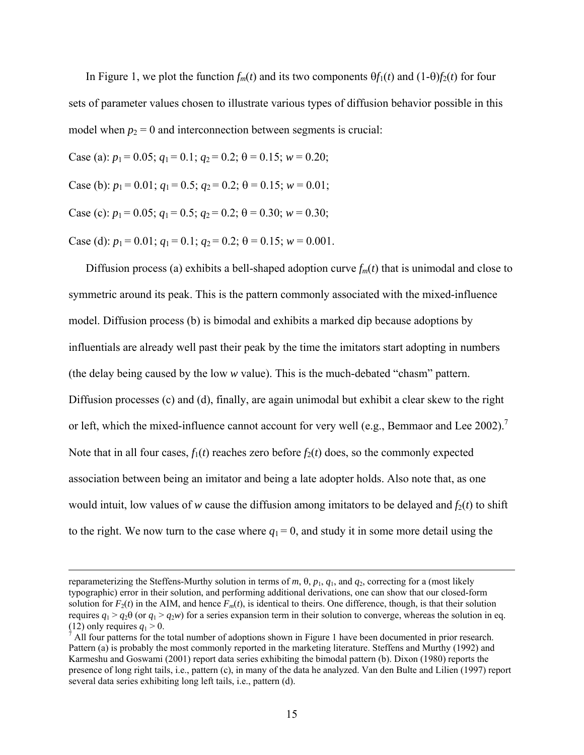In Figure 1, we plot the function  $f_m(t)$  and its two components  $\theta f_1(t)$  and  $(1-\theta)f_2(t)$  for four sets of parameter values chosen to illustrate various types of diffusion behavior possible in this model when  $p_2 = 0$  and interconnection between segments is crucial:

Case (a):  $p_1 = 0.05$ ;  $q_1 = 0.1$ ;  $q_2 = 0.2$ ;  $\theta = 0.15$ ;  $w = 0.20$ ;

Case (b):  $p_1 = 0.01$ ;  $q_1 = 0.5$ ;  $q_2 = 0.2$ ;  $\theta = 0.15$ ;  $w = 0.01$ ;

Case (c):  $p_1 = 0.05$ ;  $q_1 = 0.5$ ;  $q_2 = 0.2$ ;  $\theta = 0.30$ ;  $w = 0.30$ ;

Case (d):  $p_1 = 0.01$ ;  $q_1 = 0.1$ ;  $q_2 = 0.2$ ;  $\theta = 0.15$ ;  $w = 0.001$ .

<u>.</u>

Diffusion process (a) exhibits a bell-shaped adoption curve  $f_m(t)$  that is unimodal and close to symmetric around its peak. This is the pattern commonly associated with the mixed-influence model. Diffusion process (b) is bimodal and exhibits a marked dip because adoptions by influentials are already well past their peak by the time the imitators start adopting in numbers (the delay being caused by the low *w* value). This is the much-debated "chasm" pattern. Diffusion processes (c) and (d), finally, are again unimodal but exhibit a clear skew to the right or left, which the mixed-influence cannot account for very well (e.g., Bemmaor and Lee 2002).<sup>7</sup> Note that in all four cases,  $f_1(t)$  reaches zero before  $f_2(t)$  does, so the commonly expected association between being an imitator and being a late adopter holds. Also note that, as one would intuit, low values of *w* cause the diffusion among imitators to be delayed and  $f_2(t)$  to shift to the right. We now turn to the case where  $q_1 = 0$ , and study it in some more detail using the

reparameterizing the Steffens-Murthy solution in terms of *m*, θ, *p*1, *q*1, and *q*2, correcting for a (most likely typographic) error in their solution, and performing additional derivations, one can show that our closed-form solution for  $F_2(t)$  in the AIM, and hence  $F_m(t)$ , is identical to theirs. One difference, though, is that their solution requires  $q_1 > q_2 \theta$  (or  $q_1 > q_2 w$ ) for a series expansion term in their solution to converge, whereas the solution in eq. (12) only requires  $q_1 > 0$ .

 $\alpha$ <sup>7</sup> All four patterns for the total number of adoptions shown in Figure 1 have been documented in prior research. Pattern (a) is probably the most commonly reported in the marketing literature. Steffens and Murthy (1992) and Karmeshu and Goswami (2001) report data series exhibiting the bimodal pattern (b). Dixon (1980) reports the presence of long right tails, i.e., pattern (c), in many of the data he analyzed. Van den Bulte and Lilien (1997) report several data series exhibiting long left tails, i.e., pattern (d).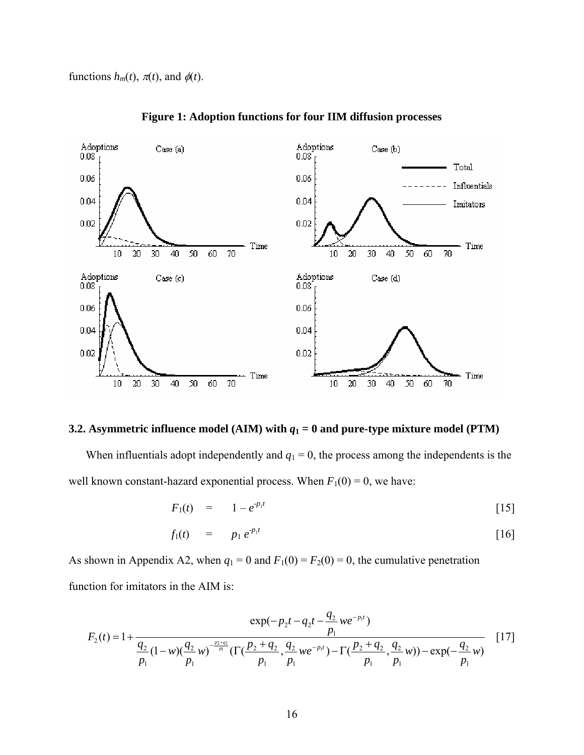functions  $h_m(t)$ ,  $\pi(t)$ , and  $\phi(t)$ .





# **3.2. Asymmetric influence model (AIM) with** *q***1 = 0 and pure-type mixture model (PTM)**

When influentials adopt independently and  $q_1 = 0$ , the process among the independents is the well known constant-hazard exponential process. When  $F_1(0) = 0$ , we have:

$$
F_1(t) = 1 - e^{-p_1 t} \tag{15}
$$

$$
f_1(t) = p_1 e^{-p_1 t} \tag{16}
$$

As shown in Appendix A2, when  $q_1 = 0$  and  $F_1(0) = F_2(0) = 0$ , the cumulative penetration function for imitators in the AIM is:

$$
F_2(t) = 1 + \frac{\exp(-p_2 t - q_2 t - \frac{q_2}{p_1} w e^{-p_1 t})}{\frac{q_2}{p_1} (1 - w) (\frac{q_2}{p_1} w)^{-\frac{p_2 + q_2}{p_1}} (\Gamma(\frac{p_2 + q_2}{p_1}, \frac{q_2}{p_1} w e^{-p_1 t}) - \Gamma(\frac{p_2 + q_2}{p_1}, \frac{q_2}{p_1} w)) - \exp(-\frac{q_2}{p_1} w)}
$$
 [17]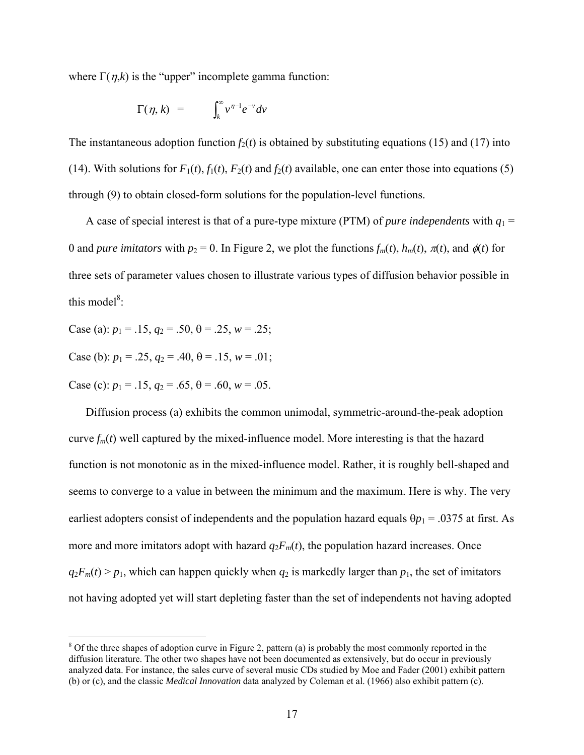where  $\Gamma(\eta,k)$  is the "upper" incomplete gamma function:

$$
\Gamma(\eta, k) = \int_{k}^{\infty} v^{\eta-1} e^{-v} dv
$$

The instantaneous adoption function  $f_2(t)$  is obtained by substituting equations (15) and (17) into (14). With solutions for  $F_1(t)$ ,  $f_1(t)$ ,  $F_2(t)$  and  $f_2(t)$  available, one can enter those into equations (5) through (9) to obtain closed-form solutions for the population-level functions.

A case of special interest is that of a pure-type mixture (PTM) of *pure independents* with  $q_1$  = 0 and *pure imitators* with  $p_2 = 0$ . In Figure 2, we plot the functions  $f_m(t)$ ,  $h_m(t)$ ,  $\pi(t)$ , and  $\phi(t)$  for three sets of parameter values chosen to illustrate various types of diffusion behavior possible in this model<sup>8</sup>:

Case (a):  $p_1 = .15$ ,  $q_2 = .50$ ,  $\theta = .25$ ,  $w = .25$ ; Case (b):  $p_1 = .25$ ,  $q_2 = .40$ ,  $\theta = .15$ ,  $w = .01$ ; Case (c):  $p_1 = .15$ ,  $q_2 = .65$ ,  $\theta = .60$ ,  $w = .05$ .

 $\overline{a}$ 

Diffusion process (a) exhibits the common unimodal, symmetric-around-the-peak adoption curve  $f_m(t)$  well captured by the mixed-influence model. More interesting is that the hazard function is not monotonic as in the mixed-influence model. Rather, it is roughly bell-shaped and seems to converge to a value in between the minimum and the maximum. Here is why. The very earliest adopters consist of independents and the population hazard equals  $\theta p_1 = .0375$  at first. As more and more imitators adopt with hazard  $q_2F_m(t)$ , the population hazard increases. Once  $q_2F_m(t) > p_1$ , which can happen quickly when  $q_2$  is markedly larger than  $p_1$ , the set of imitators not having adopted yet will start depleting faster than the set of independents not having adopted

 $8$  Of the three shapes of adoption curve in Figure 2, pattern (a) is probably the most commonly reported in the diffusion literature. The other two shapes have not been documented as extensively, but do occur in previously analyzed data. For instance, the sales curve of several music CDs studied by Moe and Fader (2001) exhibit pattern (b) or (c), and the classic *Medical Innovation* data analyzed by Coleman et al. (1966) also exhibit pattern (c).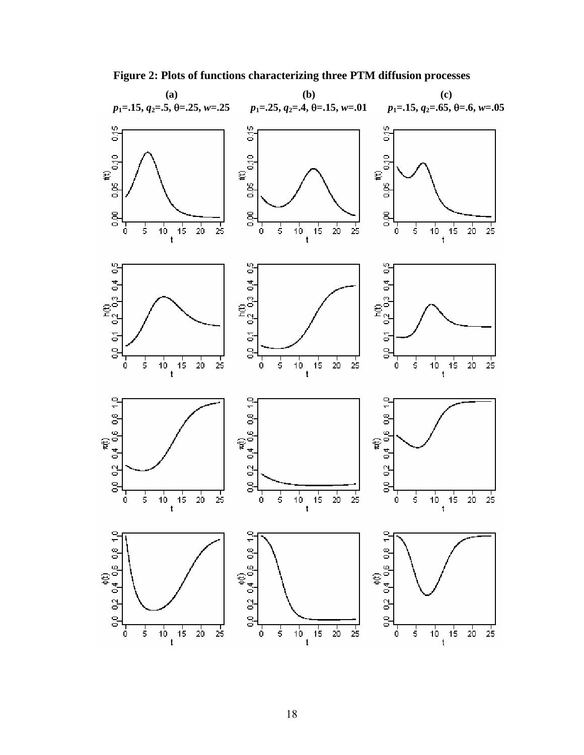

**Figure 2: Plots of functions characterizing three PTM diffusion processes**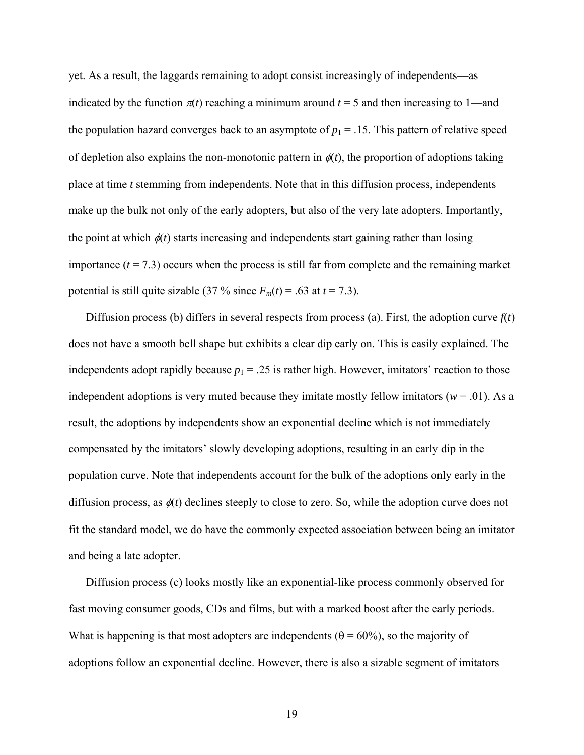yet. As a result, the laggards remaining to adopt consist increasingly of independents—as indicated by the function  $\pi(t)$  reaching a minimum around  $t = 5$  and then increasing to 1—and the population hazard converges back to an asymptote of  $p_1 = .15$ . This pattern of relative speed of depletion also explains the non-monotonic pattern in  $\phi(t)$ , the proportion of adoptions taking place at time *t* stemming from independents. Note that in this diffusion process, independents make up the bulk not only of the early adopters, but also of the very late adopters. Importantly, the point at which  $\phi(t)$  starts increasing and independents start gaining rather than losing importance  $(t = 7.3)$  occurs when the process is still far from complete and the remaining market potential is still quite sizable (37 % since  $F_m(t) = .63$  at  $t = 7.3$ ).

Diffusion process (b) differs in several respects from process (a). First, the adoption curve  $f(t)$ does not have a smooth bell shape but exhibits a clear dip early on. This is easily explained. The independents adopt rapidly because  $p_1 = .25$  is rather high. However, imitators' reaction to those independent adoptions is very muted because they imitate mostly fellow imitators ( $w = .01$ ). As a result, the adoptions by independents show an exponential decline which is not immediately compensated by the imitators' slowly developing adoptions, resulting in an early dip in the population curve. Note that independents account for the bulk of the adoptions only early in the diffusion process, as φ(*t*) declines steeply to close to zero. So, while the adoption curve does not fit the standard model, we do have the commonly expected association between being an imitator and being a late adopter.

Diffusion process (c) looks mostly like an exponential-like process commonly observed for fast moving consumer goods, CDs and films, but with a marked boost after the early periods. What is happening is that most adopters are independents  $(\theta = 60\%)$ , so the majority of adoptions follow an exponential decline. However, there is also a sizable segment of imitators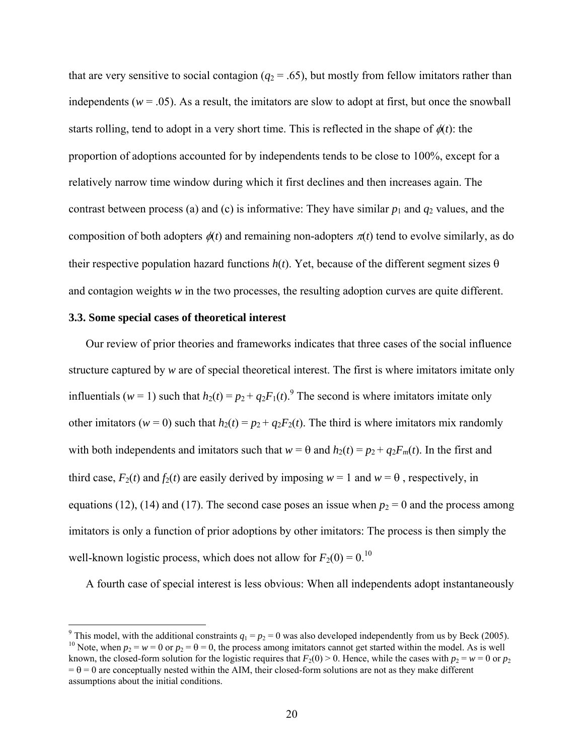that are very sensitive to social contagion ( $q_2$  = .65), but mostly from fellow imitators rather than independents ( $w = .05$ ). As a result, the imitators are slow to adopt at first, but once the snowball starts rolling, tend to adopt in a very short time. This is reflected in the shape of  $\phi(t)$ : the proportion of adoptions accounted for by independents tends to be close to 100%, except for a relatively narrow time window during which it first declines and then increases again. The contrast between process (a) and (c) is informative: They have similar  $p_1$  and  $q_2$  values, and the composition of both adopters  $\phi(t)$  and remaining non-adopters  $\pi(t)$  tend to evolve similarly, as do their respective population hazard functions  $h(t)$ . Yet, because of the different segment sizes  $\theta$ and contagion weights *w* in the two processes, the resulting adoption curves are quite different.

### **3.3. Some special cases of theoretical interest**

1

Our review of prior theories and frameworks indicates that three cases of the social influence structure captured by *w* are of special theoretical interest. The first is where imitators imitate only influentials ( $w = 1$ ) such that  $h_2(t) = p_2 + q_2 F_1(t)$ .<sup>9</sup> The second is where imitators imitate only other imitators ( $w = 0$ ) such that  $h_2(t) = p_2 + q_2 F_2(t)$ . The third is where imitators mix randomly with both independents and imitators such that  $w = \theta$  and  $h_2(t) = p_2 + q_2 F_m(t)$ . In the first and third case,  $F_2(t)$  and  $f_2(t)$  are easily derived by imposing  $w = 1$  and  $w = \theta$ , respectively, in equations (12), (14) and (17). The second case poses an issue when  $p_2 = 0$  and the process among imitators is only a function of prior adoptions by other imitators: The process is then simply the well-known logistic process, which does not allow for  $F_2(0) = 0$ .<sup>10</sup>

A fourth case of special interest is less obvious: When all independents adopt instantaneously

<sup>&</sup>lt;sup>9</sup> This model, with the additional constraints  $q_1 = p_2 = 0$  was also developed independently from us by Beck (2005). <sup>10</sup> Note, when  $p_2 = w = 0$  or  $p_2 = \theta = 0$ , the process among imitators cannot get started within the model. As is well known, the closed-form solution for the logistic requires that  $F_2(0) > 0$ . Hence, while the cases with  $p_2 = w = 0$  or  $p_2$  $= \theta = 0$  are conceptually nested within the AIM, their closed-form solutions are not as they make different assumptions about the initial conditions.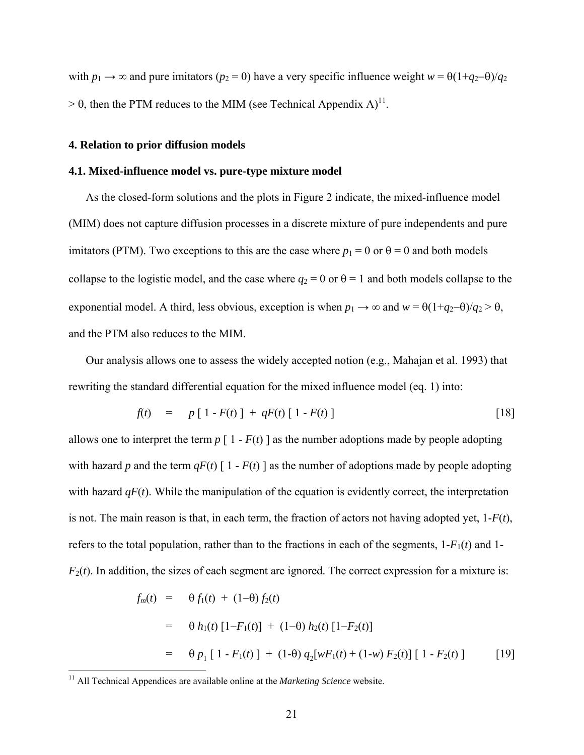with  $p_1 \rightarrow \infty$  and pure imitators ( $p_2 = 0$ ) have a very specific influence weight  $w = \theta(1+q_2-\theta)/q_2$  $> \theta$ , then the PTM reduces to the MIM (see Technical Appendix A)<sup>11</sup>.

#### **4. Relation to prior diffusion models**

### **4.1. Mixed-influence model vs. pure-type mixture model**

As the closed-form solutions and the plots in Figure 2 indicate, the mixed-influence model (MIM) does not capture diffusion processes in a discrete mixture of pure independents and pure imitators (PTM). Two exceptions to this are the case where  $p_1 = 0$  or  $\theta = 0$  and both models collapse to the logistic model, and the case where  $q_2 = 0$  or  $\theta = 1$  and both models collapse to the exponential model. A third, less obvious, exception is when  $p_1 \rightarrow \infty$  and  $w = \theta(1+q_2-\theta)/q_2 > \theta$ , and the PTM also reduces to the MIM.

Our analysis allows one to assess the widely accepted notion (e.g., Mahajan et al. 1993) that rewriting the standard differential equation for the mixed influence model (eq. 1) into:

$$
f(t) = p [1 - F(t)] + qF(t) [1 - F(t)] \qquad [18]
$$

allows one to interpret the term  $p \mid 1 - F(t) \mid$  as the number adoptions made by people adopting with hazard *p* and the term  $qF(t)$  [ 1 -  $F(t)$  ] as the number of adoptions made by people adopting with hazard  $qF(t)$ . While the manipulation of the equation is evidently correct, the interpretation is not. The main reason is that, in each term, the fraction of actors not having adopted yet, 1-*F*(*t*), refers to the total population, rather than to the fractions in each of the segments,  $1-F_1(t)$  and  $1 F_2(t)$ . In addition, the sizes of each segment are ignored. The correct expression for a mixture is:

$$
f_m(t) = \theta f_1(t) + (1-\theta)f_2(t)
$$
  
=  $\theta h_1(t) [1 - F_1(t)] + (1-\theta) h_2(t) [1 - F_2(t)]$   
=  $\theta p_1 [1 - F_1(t)] + (1-\theta) q_2 [wF_1(t) + (1-w) F_2(t)] [1 - F_2(t)]$  [19]

 $\overline{a}$ 

<sup>&</sup>lt;sup>11</sup> All Technical Appendices are available online at the *Marketing Science* website.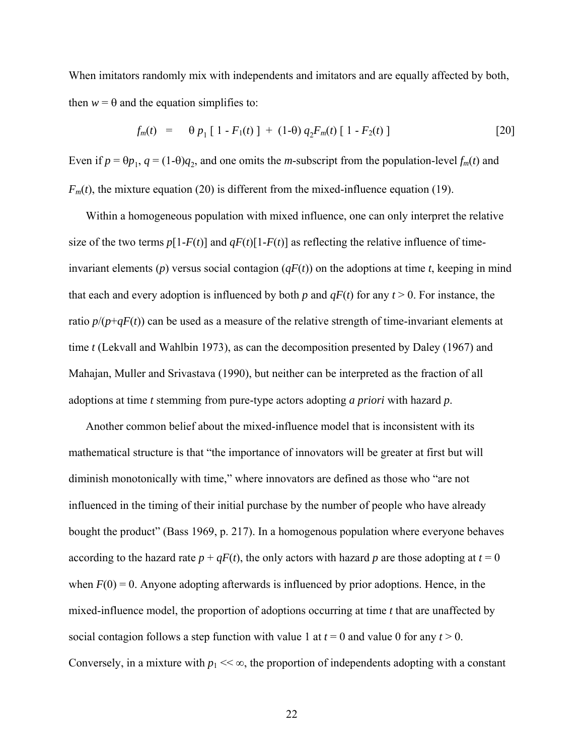When imitators randomly mix with independents and imitators and are equally affected by both, then  $w = \theta$  and the equation simplifies to:

$$
f_m(t) = \theta p_1 [1 - F_1(t)] + (1 - \theta) q_2 F_m(t) [1 - F_2(t)] \qquad [20]
$$

Even if  $p = \theta p_1$ ,  $q = (1-\theta)q_2$ , and one omits the *m*-subscript from the population-level  $f_m(t)$  and  $F_m(t)$ , the mixture equation (20) is different from the mixed-influence equation (19).

Within a homogeneous population with mixed influence, one can only interpret the relative size of the two terms  $p[1-F(t)]$  and  $qF(t)[1-F(t)]$  as reflecting the relative influence of timeinvariant elements (*p*) versus social contagion  $(qF(t))$  on the adoptions at time *t*, keeping in mind that each and every adoption is influenced by both *p* and  $qF(t)$  for any  $t > 0$ . For instance, the ratio  $p/(p+qF(t))$  can be used as a measure of the relative strength of time-invariant elements at time *t* (Lekvall and Wahlbin 1973), as can the decomposition presented by Daley (1967) and Mahajan, Muller and Srivastava (1990), but neither can be interpreted as the fraction of all adoptions at time *t* stemming from pure-type actors adopting *a priori* with hazard *p*.

Another common belief about the mixed-influence model that is inconsistent with its mathematical structure is that "the importance of innovators will be greater at first but will diminish monotonically with time," where innovators are defined as those who "are not influenced in the timing of their initial purchase by the number of people who have already bought the product" (Bass 1969, p. 217). In a homogenous population where everyone behaves according to the hazard rate  $p + qF(t)$ , the only actors with hazard p are those adopting at  $t = 0$ when  $F(0) = 0$ . Anyone adopting afterwards is influenced by prior adoptions. Hence, in the mixed-influence model, the proportion of adoptions occurring at time *t* that are unaffected by social contagion follows a step function with value 1 at  $t = 0$  and value 0 for any  $t > 0$ . Conversely, in a mixture with  $p_1 \ll \infty$ , the proportion of independents adopting with a constant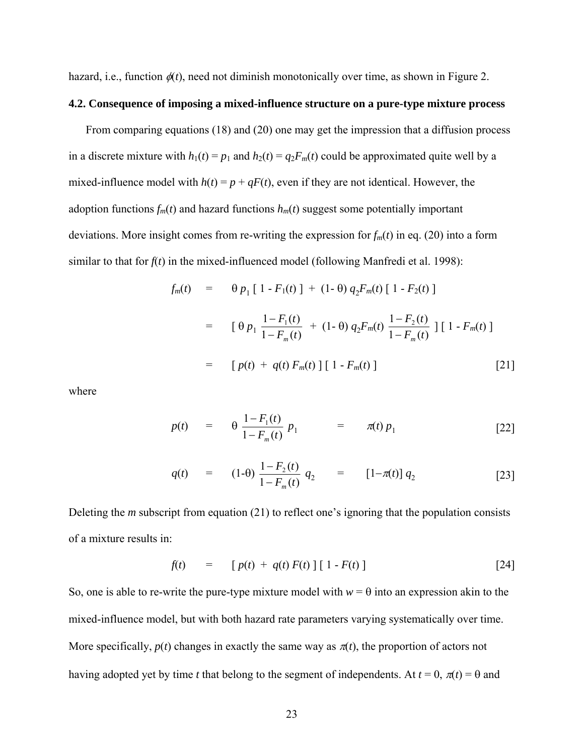hazard, i.e., function  $\phi(t)$ , need not diminish monotonically over time, as shown in Figure 2.

#### **4.2. Consequence of imposing a mixed-influence structure on a pure-type mixture process**

From comparing equations (18) and (20) one may get the impression that a diffusion process in a discrete mixture with  $h_1(t) = p_1$  and  $h_2(t) = q_2 F_m(t)$  could be approximated quite well by a mixed-influence model with  $h(t) = p + qF(t)$ , even if they are not identical. However, the adoption functions  $f_m(t)$  and hazard functions  $h_m(t)$  suggest some potentially important deviations. More insight comes from re-writing the expression for  $f_m(t)$  in eq. (20) into a form similar to that for  $f(t)$  in the mixed-influenced model (following Manfredi et al. 1998):

$$
f_m(t) = \theta p_1 [1 - F_1(t)] + (1 - \theta) q_2 F_m(t) [1 - F_2(t)]
$$
  

$$
= [\theta p_1 \frac{1 - F_1(t)}{1 - F_m(t)} + (1 - \theta) q_2 F_m(t) \frac{1 - F_2(t)}{1 - F_m(t)}] [1 - F_m(t)]
$$
  

$$
= [p(t) + q(t) F_m(t)] [1 - F_m(t)]
$$
 [21]

where

$$
p(t) = \theta \frac{1 - F_1(t)}{1 - F_m(t)} p_1 = \pi(t) p_1
$$
 [22]

$$
q(t) = (1-\theta) \frac{1-F_2(t)}{1-F_m(t)} q_2 = [1-\pi(t)] q_2
$$
 [23]

Deleting the *m* subscript from equation (21) to reflect one's ignoring that the population consists of a mixture results in:

$$
f(t) = [p(t) + q(t) F(t)] [1 - F(t)] \qquad [24]
$$

So, one is able to re-write the pure-type mixture model with  $w = \theta$  into an expression akin to the mixed-influence model, but with both hazard rate parameters varying systematically over time. More specifically,  $p(t)$  changes in exactly the same way as  $\pi(t)$ , the proportion of actors not having adopted yet by time *t* that belong to the segment of independents. At  $t = 0$ ,  $\pi(t) = \theta$  and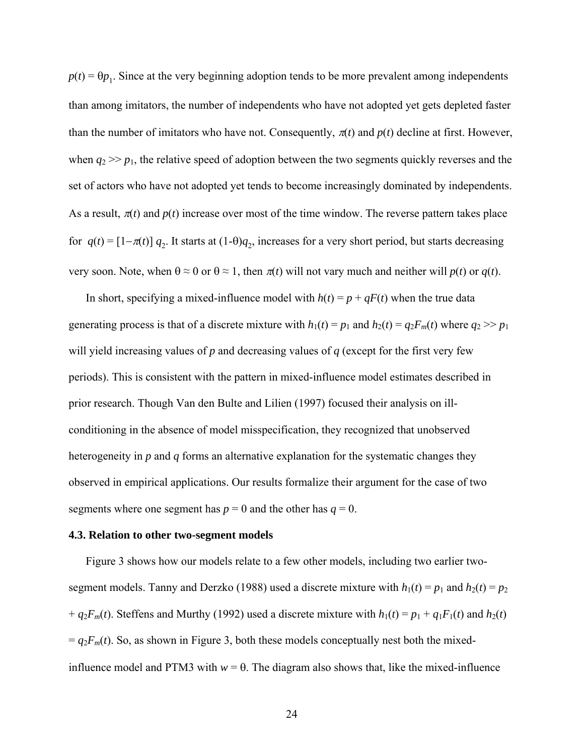$p(t) = \theta p_1$ . Since at the very beginning adoption tends to be more prevalent among independents than among imitators, the number of independents who have not adopted yet gets depleted faster than the number of imitators who have not. Consequently,  $\pi(t)$  and  $p(t)$  decline at first. However, when  $q_2 \gg p_1$ , the relative speed of adoption between the two segments quickly reverses and the set of actors who have not adopted yet tends to become increasingly dominated by independents. As a result,  $\pi(t)$  and  $p(t)$  increase over most of the time window. The reverse pattern takes place for  $q(t) = [1-\pi(t)] q_2$ . It starts at  $(1-\theta)q_2$ , increases for a very short period, but starts decreasing very soon. Note, when  $\theta \approx 0$  or  $\theta \approx 1$ , then  $\pi(t)$  will not vary much and neither will  $p(t)$  or  $q(t)$ .

In short, specifying a mixed-influence model with  $h(t) = p + qF(t)$  when the true data generating process is that of a discrete mixture with  $h_1(t) = p_1$  and  $h_2(t) = q_2 F_m(t)$  where  $q_2 >> p_1$ will yield increasing values of *p* and decreasing values of *q* (except for the first very few periods). This is consistent with the pattern in mixed-influence model estimates described in prior research. Though Van den Bulte and Lilien (1997) focused their analysis on illconditioning in the absence of model misspecification, they recognized that unobserved heterogeneity in *p* and *q* forms an alternative explanation for the systematic changes they observed in empirical applications. Our results formalize their argument for the case of two segments where one segment has  $p = 0$  and the other has  $q = 0$ .

### **4.3. Relation to other two-segment models**

Figure 3 shows how our models relate to a few other models, including two earlier twosegment models. Tanny and Derzko (1988) used a discrete mixture with  $h_1(t) = p_1$  and  $h_2(t) = p_2$ +  $q_2F_m(t)$ . Steffens and Murthy (1992) used a discrete mixture with  $h_1(t) = p_1 + q_1F_1(t)$  and  $h_2(t)$  $= q_2 F_m(t)$ . So, as shown in Figure 3, both these models conceptually nest both the mixedinfluence model and PTM3 with  $w = \theta$ . The diagram also shows that, like the mixed-influence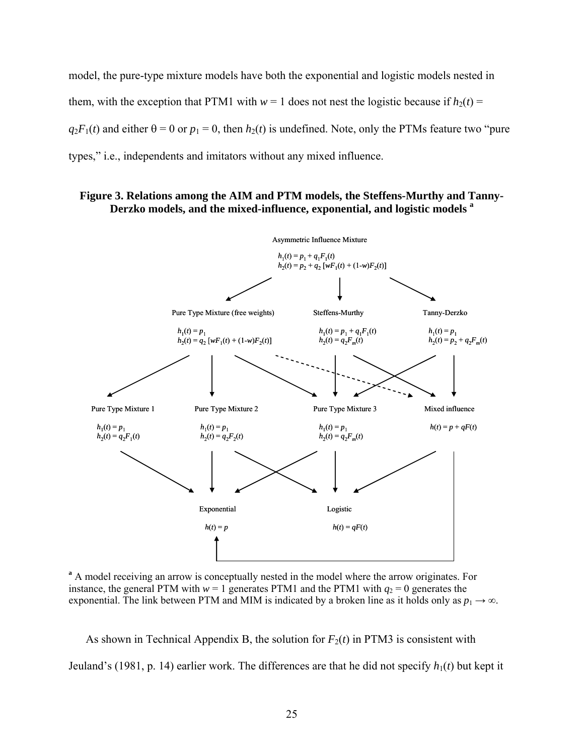model, the pure-type mixture models have both the exponential and logistic models nested in them, with the exception that PTM1 with  $w = 1$  does not nest the logistic because if  $h_2(t) =$  $q_2F_1(t)$  and either  $\theta = 0$  or  $p_1 = 0$ , then  $h_2(t)$  is undefined. Note, only the PTMs feature two "pure types," i.e., independents and imitators without any mixed influence.

# **Figure 3. Relations among the AIM and PTM models, the Steffens-Murthy and Tanny-Derzko models, and the mixed-influence, exponential, and logistic models a**



<sup>a</sup> A model receiving an arrow is conceptually nested in the model where the arrow originates. For instance, the general PTM with  $w = 1$  generates PTM1 and the PTM1 with  $q_2 = 0$  generates the exponential. The link between PTM and MIM is indicated by a broken line as it holds only as  $p_1 \rightarrow \infty$ .

As shown in Technical Appendix B, the solution for  $F_2(t)$  in PTM3 is consistent with Jeuland's (1981, p. 14) earlier work. The differences are that he did not specify  $h_1(t)$  but kept it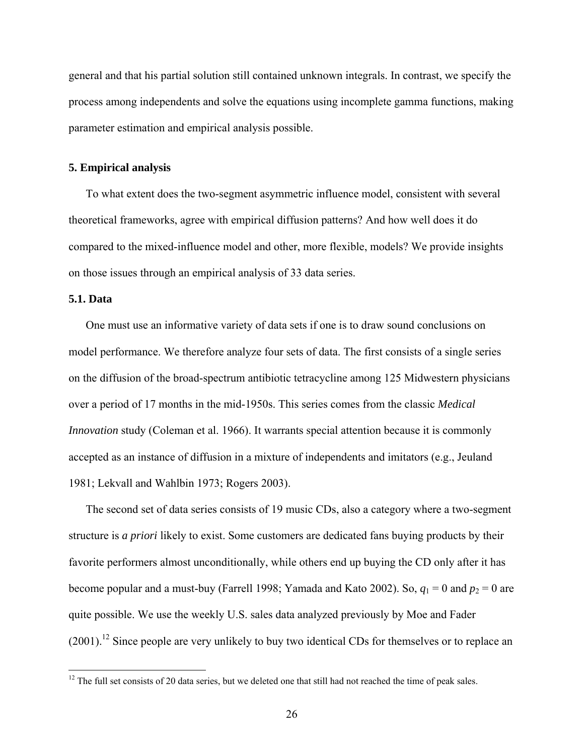general and that his partial solution still contained unknown integrals. In contrast, we specify the process among independents and solve the equations using incomplete gamma functions, making parameter estimation and empirical analysis possible.

# **5. Empirical analysis**

To what extent does the two-segment asymmetric influence model, consistent with several theoretical frameworks, agree with empirical diffusion patterns? And how well does it do compared to the mixed-influence model and other, more flexible, models? We provide insights on those issues through an empirical analysis of 33 data series.

### **5.1. Data**

 $\overline{a}$ 

One must use an informative variety of data sets if one is to draw sound conclusions on model performance. We therefore analyze four sets of data. The first consists of a single series on the diffusion of the broad-spectrum antibiotic tetracycline among 125 Midwestern physicians over a period of 17 months in the mid-1950s. This series comes from the classic *Medical Innovation* study (Coleman et al. 1966). It warrants special attention because it is commonly accepted as an instance of diffusion in a mixture of independents and imitators (e.g., Jeuland 1981; Lekvall and Wahlbin 1973; Rogers 2003).

The second set of data series consists of 19 music CDs, also a category where a two-segment structure is *a priori* likely to exist. Some customers are dedicated fans buying products by their favorite performers almost unconditionally, while others end up buying the CD only after it has become popular and a must-buy (Farrell 1998; Yamada and Kato 2002). So,  $q_1 = 0$  and  $p_2 = 0$  are quite possible. We use the weekly U.S. sales data analyzed previously by Moe and Fader  $(2001)$ <sup>12</sup> Since people are very unlikely to buy two identical CDs for themselves or to replace an

 $12$  The full set consists of 20 data series, but we deleted one that still had not reached the time of peak sales.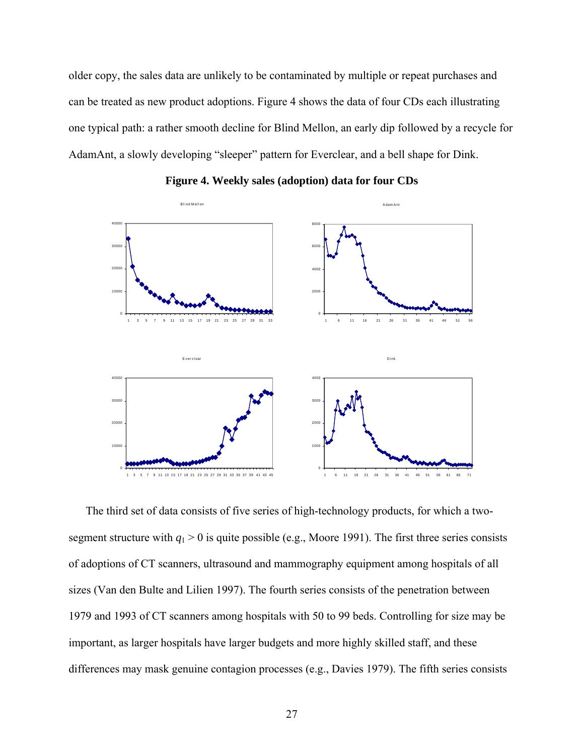older copy, the sales data are unlikely to be contaminated by multiple or repeat purchases and can be treated as new product adoptions. Figure 4 shows the data of four CDs each illustrating one typical path: a rather smooth decline for Blind Mellon, an early dip followed by a recycle for AdamAnt, a slowly developing "sleeper" pattern for Everclear, and a bell shape for Dink.



**Figure 4. Weekly sales (adoption) data for four CDs** 

The third set of data consists of five series of high-technology products, for which a twosegment structure with  $q_1 > 0$  is quite possible (e.g., Moore 1991). The first three series consists of adoptions of CT scanners, ultrasound and mammography equipment among hospitals of all sizes (Van den Bulte and Lilien 1997). The fourth series consists of the penetration between 1979 and 1993 of CT scanners among hospitals with 50 to 99 beds. Controlling for size may be important, as larger hospitals have larger budgets and more highly skilled staff, and these differences may mask genuine contagion processes (e.g., Davies 1979). The fifth series consists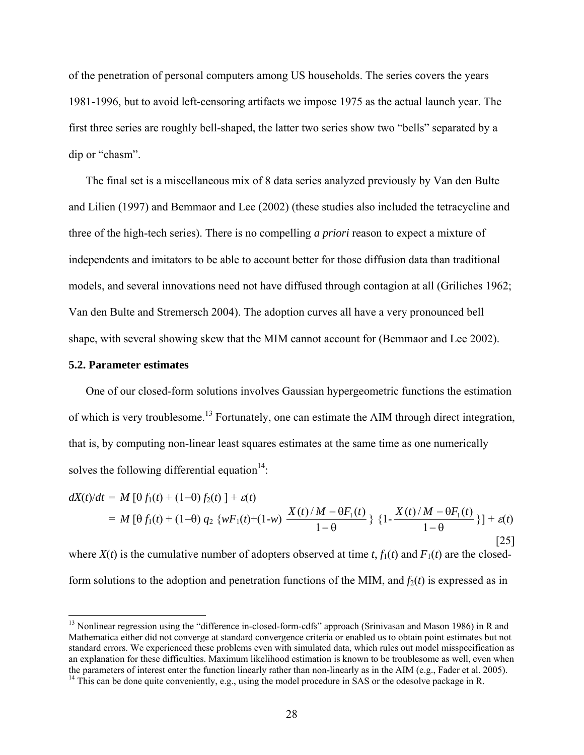of the penetration of personal computers among US households. The series covers the years 1981-1996, but to avoid left-censoring artifacts we impose 1975 as the actual launch year. The first three series are roughly bell-shaped, the latter two series show two "bells" separated by a dip or "chasm".

The final set is a miscellaneous mix of 8 data series analyzed previously by Van den Bulte and Lilien (1997) and Bemmaor and Lee (2002) (these studies also included the tetracycline and three of the high-tech series). There is no compelling *a priori* reason to expect a mixture of independents and imitators to be able to account better for those diffusion data than traditional models, and several innovations need not have diffused through contagion at all (Griliches 1962; Van den Bulte and Stremersch 2004). The adoption curves all have a very pronounced bell shape, with several showing skew that the MIM cannot account for (Bemmaor and Lee 2002).

#### **5.2. Parameter estimates**

1

One of our closed-form solutions involves Gaussian hypergeometric functions the estimation of which is very troublesome.13 Fortunately, one can estimate the AIM through direct integration, that is, by computing non-linear least squares estimates at the same time as one numerically solves the following differential equation $14$ :

$$
dX(t)/dt = M [\theta f_1(t) + (1-\theta) f_2(t)] + \varepsilon(t)
$$
  
=  $M [\theta f_1(t) + (1-\theta) q_2 \{wF_1(t) + (1-w) \frac{X(t)/M - \theta F_1(t)}{1-\theta} \} \{1 - \frac{X(t)/M - \theta F_1(t)}{1-\theta} \}] + \varepsilon(t)$  [25]

where  $X(t)$  is the cumulative number of adopters observed at time *t*,  $f_1(t)$  and  $F_1(t)$  are the closedform solutions to the adoption and penetration functions of the MIM, and  $f_2(t)$  is expressed as in

<sup>&</sup>lt;sup>13</sup> Nonlinear regression using the "difference in-closed-form-cdfs" approach (Srinivasan and Mason 1986) in R and Mathematica either did not converge at standard convergence criteria or enabled us to obtain point estimates but not standard errors. We experienced these problems even with simulated data, which rules out model misspecification as an explanation for these difficulties. Maximum likelihood estimation is known to be troublesome as well, even when the parameters of interest enter the function linearly rather than non-linearly as in the AIM (e.g., Fader et al. 2005).<br><sup>14</sup> This can be done quite conveniently, e.g., using the model procedure in SAS or the odesolve pac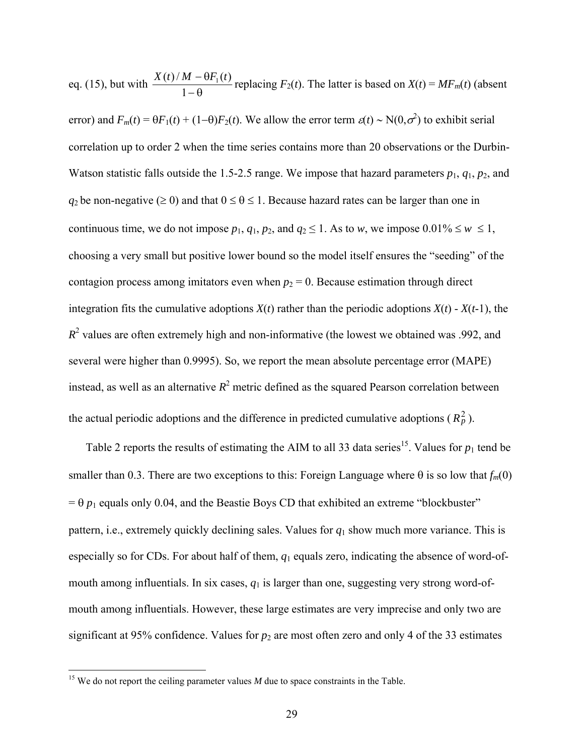eq. (15), but with  $\frac{A(t) + M}{1 - \theta}$ − θ 1  $\frac{X(t)/M - \theta F_1(t)}{M}$  replacing  $F_2(t)$ . The latter is based on  $X(t) = MF_m(t)$  (absent

error) and  $F_m(t) = \theta F_1(t) + (1-\theta)F_2(t)$ . We allow the error term  $\varepsilon(t) \sim N(0,\sigma^2)$  to exhibit serial correlation up to order 2 when the time series contains more than 20 observations or the Durbin-Watson statistic falls outside the 1.5-2.5 range. We impose that hazard parameters  $p_1$ ,  $q_1$ ,  $p_2$ , and *q*<sub>2</sub> be non-negative ( $\geq$  0) and that  $0 \leq \theta \leq 1$ . Because hazard rates can be larger than one in continuous time, we do not impose  $p_1$ ,  $q_1$ ,  $p_2$ , and  $q_2 \le 1$ . As to *w*, we impose  $0.01\% \le w \le 1$ , choosing a very small but positive lower bound so the model itself ensures the "seeding" of the contagion process among imitators even when  $p_2 = 0$ . Because estimation through direct integration fits the cumulative adoptions  $X(t)$  rather than the periodic adoptions  $X(t) - X(t-1)$ , the  $R<sup>2</sup>$  values are often extremely high and non-informative (the lowest we obtained was .992, and several were higher than 0.9995). So, we report the mean absolute percentage error (MAPE) instead, as well as an alternative  $R^2$  metric defined as the squared Pearson correlation between the actual periodic adoptions and the difference in predicted cumulative adoptions ( $R_p^2$ ).

Table 2 reports the results of estimating the AIM to all 33 data series<sup>15</sup>. Values for  $p_1$  tend be smaller than 0.3. There are two exceptions to this: Foreign Language where  $\theta$  is so low that  $f_m(0)$  $= \theta p_1$  equals only 0.04, and the Beastie Boys CD that exhibited an extreme "blockbuster" pattern, i.e., extremely quickly declining sales. Values for  $q_1$  show much more variance. This is especially so for CDs. For about half of them, *q*1 equals zero, indicating the absence of word-ofmouth among influentials. In six cases,  $q_1$  is larger than one, suggesting very strong word-ofmouth among influentials. However, these large estimates are very imprecise and only two are significant at 95% confidence. Values for  $p_2$  are most often zero and only 4 of the 33 estimates

<u>.</u>

<sup>&</sup>lt;sup>15</sup> We do not report the ceiling parameter values  $M$  due to space constraints in the Table.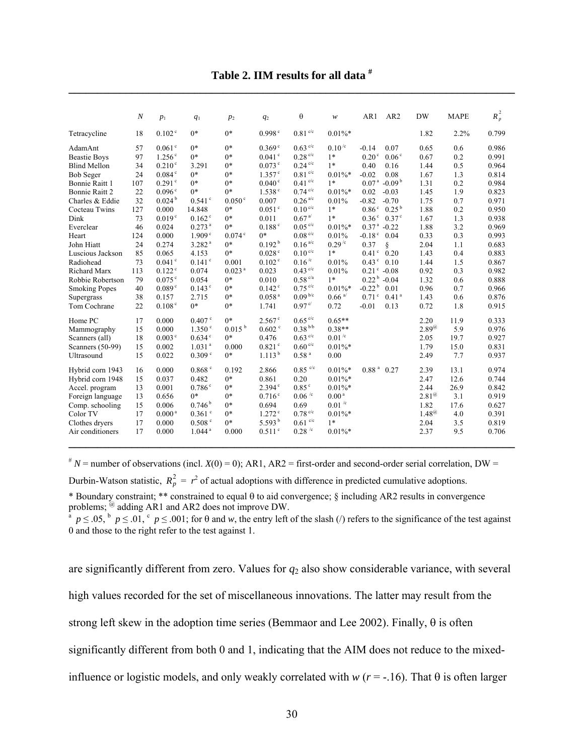# **Table 2. IIM results for all data # \_\_\_\_\_\_\_\_\_\_\_\_\_\_\_\_\_\_\_\_\_\_\_\_\_\_\_\_\_\_\_\_\_\_\_\_\_\_\_\_\_\_\_\_\_\_\_\_\_\_\_\_\_\_\_\_\_\_\_\_\_\_\_\_\_\_\_\_\_\_\_\_\_\_\_\_\_\_**

|                       | $\boldsymbol{N}$ | $p_1$                | q <sub>1</sub>       | $p_2$                | q <sub>2</sub>       | $\theta$                   | $\boldsymbol{W}$            | AR1<br>AR <sub>2</sub>                 | DW                      | <b>MAPE</b> | $R_p^2$ |
|-----------------------|------------------|----------------------|----------------------|----------------------|----------------------|----------------------------|-----------------------------|----------------------------------------|-------------------------|-------------|---------|
| Tetracycline          | 18               | 0.102 <sup>c</sup>   | $0*$                 | $0*$                 | 0.998c               | $0.81$ c/c                 | $0.01\%$ *                  |                                        | 1.82                    | 2.2%        | 0.799   |
| AdamAnt               | 57               | 0.061 <sup>c</sup>   | $0*$                 | $0*$                 | 0.369 <sup>c</sup>   | $0.63$ c/c                 | $0.10^{\prime\rm c}$        | 0.07<br>$-0.14$                        | 0.65                    | 0.6         | 0.986   |
| <b>Beastie Boys</b>   | 97               | $1.256^{\circ}$      | $0*$                 | $0*$                 | $0.041$ °            | $0.28$ c/c                 | $1*$                        | 0.20 <sup>c</sup><br>0.06 <sup>c</sup> | 0.67                    | 0.2         | 0.991   |
| <b>Blind Mellon</b>   | 34               | 0.210 <sup>c</sup>   | 3.291                | $0*$                 | $0.073$ °            | $0.24$ c/c                 | $1*$                        | 0.40<br>0.16                           | 1.44                    | 0.5         | 0.964   |
| <b>Bob Seger</b>      | 24               | $0.084$ <sup>c</sup> | $0*$                 | $0*$                 | $1.357$ <sup>c</sup> | $0.81$ c/c                 | $0.01\%$ *                  | $-0.02$<br>0.08                        | 1.67                    | 1.3         | 0.814   |
| Bonnie Raitt 1        | 107              | $0.291$ $\degree$    | $0*$                 | $0*$                 | 0.040 <sup>c</sup>   | $0.41$ c/c                 | $1*$                        | $0.07a$ -0.09 <sup>b</sup>             | 1.31                    | 0.2         | 0.984   |
| <b>Bonnie Raitt 2</b> | 22               | $0.096^{\circ}$      | $0*$                 | $0*$                 | 1.538 <sup>c</sup>   | $0.74$ <sup>c/c</sup>      | $0.01\%$ *                  | 0.02<br>$-0.03$                        | 1.45                    | 1.9         | 0.823   |
| Charles & Eddie       | 32               | 0.024 <sup>b</sup>   | $0.541$ °            | $0.050$ <sup>c</sup> | 0.007                | $0.26^{a/c}$               | 0.01%                       | $-0.82$<br>$-0.70$                     | 1.75                    | 0.7         | 0.971   |
| Cocteau Twins         | 127              | 0.000                | 14.848               | $0*$                 | $0.051$ °            | $0.10$ c/c                 | $1*$                        | $0.86^\circ$<br>$0.25^{b}$             | 1.88                    | 0.2         | 0.950   |
| Dink                  | 73               | 0.019 <sup>c</sup>   | 0.162 <sup>c</sup>   | $0*$                 | 0.011                | $0.67^{a/2}$               | $1*$                        | 0.36 <sup>c</sup><br>0.37 <sup>c</sup> | 1.67                    | 1.3         | 0.938   |
| Everclear             | 46               | 0.024                | $0.273$ <sup>a</sup> | $0*$                 | $0.188$ $^{\circ}$   | $0.05$ c/c                 | $0.01\%$ *                  | 0.37 <sup>a</sup><br>$-0.22$           | 1.88                    | 3.2         | 0.969   |
| Heart                 | 124              | 0.000                | 1.909 <sup>c</sup>   | 0.074c               | $0*$                 | 0.08 c/c                   | 0.01%                       | $-0.18$ °<br>0.04                      | 0.33                    | 0.3         | 0.993   |
| John Hiatt            | 24               | 0.274                | 3.282 <sup>a</sup>   | $0*$                 | 0.192 <sup>b</sup>   | $0.16^{a/c}$               | $0.29^{c}$                  | 0.37<br>ş                              | 2.04                    | 1.1         | 0.683   |
| Luscious Jackson      | 85               | 0.065                | 4.153                | $0*$                 | 0.028 <sup>c</sup>   | $0.10$ c/c                 | $1*$                        | 0.41 <sup>c</sup><br>0.20              | 1.43                    | 0.4         | 0.883   |
| Radiohead             | 73               | $0.041$ $\degree$    | $0.141$ <sup>c</sup> | 0.001                | 0.102 <sup>c</sup>   | $0.16^{c}$                 | 0.01%                       | $0.43^{\circ}$<br>0.10                 | 1.44                    | 1.5         | 0.867   |
| Richard Marx          | 113              | $0.122$ <sup>c</sup> | 0.074                | 0.023 <sup>a</sup>   | 0.023                | $0.43 \degree$             | 0.01%                       | $0.21$ <sup>c</sup><br>$-0.08$         | 0.92                    | 0.3         | 0.982   |
| Robbie Robertson      | 79               | $0.075$ <sup>c</sup> | 0.054                | $0*$                 | 0.010                | 0.58 c/a                   | $1*$                        | 0.22 <sup>b</sup><br>$-0.04$           | 1.32                    | 0.6         | 0.888   |
| <b>Smoking Popes</b>  | 40               | 0.089 <sup>c</sup>   | $0.143^{\circ}$      | $0*$                 | $0.142^{\circ}$      | $0.75$ c/c                 | $0.01\%$ *                  | $-0.22b$<br>0.01                       | 0.96                    | 0.7         | 0.966   |
| Supergrass            | 38               | 0.157                | 2.715                | $0*$                 | 0.058 <sup>a</sup>   | $0.09^{ b/c}$              | $0.66a$                     | $0.71$ $\degree$<br>0.41 <sup>a</sup>  | 1.43                    | 0.6         | 0.876   |
| Tom Cochrane          | 22               | 0.108 <sup>c</sup>   | $0*$                 | $0*$                 | 1.741                | $0.97$ c/                  | 0.72                        | $-0.01$<br>0.13                        | 0.72                    | 1.8         | 0.915   |
| Home PC               | 17               | 0.000                | $0.407$ $\degree$    | $0*$                 | $2.567^{\circ}$      | $0.65$ c/c                 | $0.65**$                    |                                        | 2.20                    | 11.9        | 0.333   |
| Mammography           | 15               | 0.000                | $1.350$ $\degree$    | $0.015^{b}$          | $0.602$ °            | $0.38^{b/b}$               | $0.38**$                    |                                        | $2.89^{\circ\!\!\circ}$ | 5.9         | 0.976   |
| Scanners (all)        | 18               | 0.003 <sup>c</sup>   | $0.634^{\circ}$      | $0*$                 | 0.476                | $0.63$ c/c                 | $0.01^{\,\prime\mathrm{c}}$ |                                        | 2.05                    | 19.7        | 0.927   |
| Scanners (50-99)      | 15               | 0.002                | 1.031 <sup>a</sup>   | 0.000                | $0.821$ <sup>c</sup> | $0.60$ c/c                 | $0.01\%$ *                  |                                        | 1.79                    | 15.0        | 0.831   |
| Ultrasound            | 15               | 0.022                | 0.309 <sup>c</sup>   | $0*$                 | $1.113^{b}$          | 0.58 <sup>a</sup>          | 0.00                        |                                        | 2.49                    | 7.7         | 0.937   |
| Hybrid corn 1943      | 16               | 0.000                | 0.868 °              | 0.192                | 2.866                | $0.85$ c/c                 | $0.01\%$ *                  | $0.88$ $^{\rm a}$<br>0.27              | 2.39                    | 13.1        | 0.974   |
| Hybrid corn 1948      | 15               | 0.037                | 0.482                | $0*$                 | 0.861                | 0.20                       | $0.01\%$ *                  |                                        | 2.47                    | 12.6        | 0.744   |
| Accel. program        | 13               | 0.001                | 0.786c               | $0*$                 | 2.394c               | 0.85 <sup>c</sup>          | $0.01\%$ *                  |                                        | 2.44                    | 26.9        | 0.842   |
| Foreign language      | 13               | 0.656                | $0*$                 | $0*$                 | $0.716^{\circ}$      | $0.06^{6}$                 | $0.00\,^{\rm a}$            |                                        | $2.81^{\circ}$          | 3.1         | 0.919   |
| Comp. schooling       | 15               | 0.006                | 0.746 <sup>b</sup>   | $0*$                 | 0.694                | 0.69                       | 0.01 <sup>/c</sup>          |                                        | 1.82                    | 17.6        | 0.627   |
| Color TV              | 17               | 0.000 <sup>a</sup>   | $0.361$ °            | $0*$                 | $1.272$ <sup>c</sup> | $0.78 e^{c/c}$             | $0.01\%$ *                  |                                        | $1.48^{\circ\!\!\circ}$ | 4.0         | 0.391   |
| Clothes dryers        | 17               | 0.000                | 0.508 °              | $0*$                 | $5.593^{b}$          | $0.61$ c/c                 | $1*$                        |                                        | 2.04                    | 3.5         | 0.819   |
| Air conditioners      | 17               | 0.000                | $1.044$ <sup>a</sup> | 0.000                | 0.511 <sup>c</sup>   | $0.28$ $^{\prime\text{c}}$ | $0.01\%$ *                  |                                        | 2.37                    | 9.5         | 0.706   |
|                       |                  |                      |                      |                      |                      |                            |                             |                                        |                         |             |         |

 $* N$  = number of observations (incl.  $X(0) = 0$ ); AR1, AR2 = first-order and second-order serial correlation, DW = Durbin-Watson statistic,  $R_p^2 = r^2$  of actual adoptions with difference in predicted cumulative adoptions. \* Boundary constraint; \*\* constrained to equal θ to aid convergence; § including AR2 results in convergence problems; <sup>@</sup> adding AR1 and AR2 does not improve DW.<br><sup>a</sup>  $p \le 0.05$ ,  $p \le 0.01$ ,  $p \le 0.01$ ; for  $\theta$  and *w*, the entry left of the slash (*/*) refers to the significance of the test against

0 and those to the right refer to the test against 1.

are significantly different from zero. Values for *q*2 also show considerable variance, with several high values recorded for the set of miscellaneous innovations. The latter may result from the strong left skew in the adoption time series (Bemmaor and Lee 2002). Finally,  $\theta$  is often significantly different from both 0 and 1, indicating that the AIM does not reduce to the mixedinfluence or logistic models, and only weakly correlated with *w* (*r* = -.16). That θ is often larger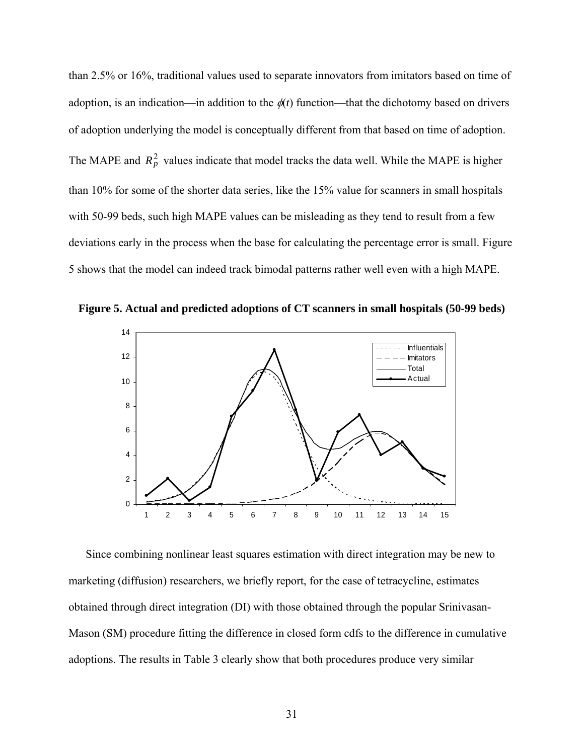than 2.5% or 16%, traditional values used to separate innovators from imitators based on time of adoption, is an indication—in addition to the  $\phi(t)$  function—that the dichotomy based on drivers of adoption underlying the model is conceptually different from that based on time of adoption. The MAPE and  $R_p^2$  values indicate that model tracks the data well. While the MAPE is higher than 10% for some of the shorter data series, like the 15% value for scanners in small hospitals with 50-99 beds, such high MAPE values can be misleading as they tend to result from a few deviations early in the process when the base for calculating the percentage error is small. Figure 5 shows that the model can indeed track bimodal patterns rather well even with a high MAPE.



**Figure 5. Actual and predicted adoptions of CT scanners in small hospitals (50-99 beds)** 

Since combining nonlinear least squares estimation with direct integration may be new to marketing (diffusion) researchers, we briefly report, for the case of tetracycline, estimates obtained through direct integration (DI) with those obtained through the popular Srinivasan-Mason (SM) procedure fitting the difference in closed form cdfs to the difference in cumulative adoptions. The results in Table 3 clearly show that both procedures produce very similar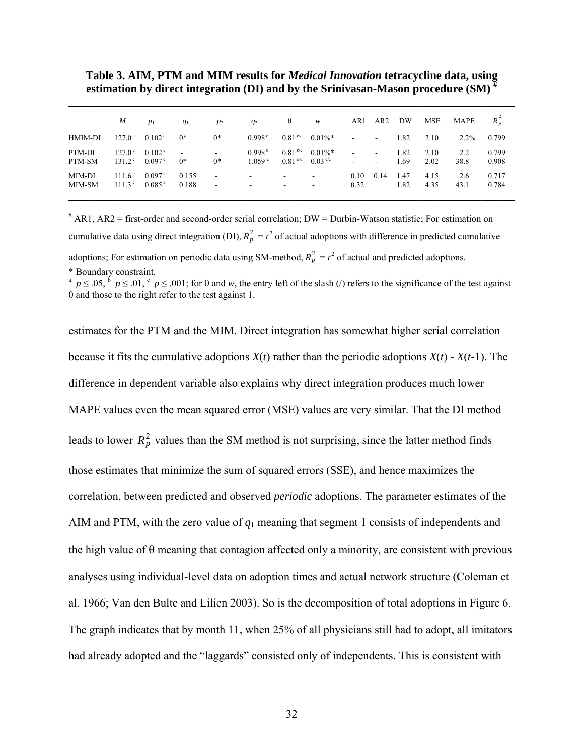### **Table 3. AIM, PTM and MIM results for** *Medical Innovation* **tetracycline data, using**  estimation by direct integration (DI) and by the Srinivasan-Mason procedure (SM)<sup> $^3$ </sup>

**\_\_\_\_\_\_\_\_\_\_\_\_\_\_\_\_\_\_\_\_\_\_\_\_\_\_\_\_\_\_\_\_\_\_\_\_\_\_\_\_\_\_\_\_\_\_\_\_\_\_\_\_\_\_\_\_\_\_\_\_\_\_\_\_\_\_\_\_\_\_\_\_\_\_\_\_\_\_** 

|         | M               | $p_1$               | $q_1$ | $p_2$                    | $q_2$                    | $\theta$                 | w                              | AR1                      | AR2                      | DW   | <b>MSE</b> | MAPE    | $R_n^2$ |
|---------|-----------------|---------------------|-------|--------------------------|--------------------------|--------------------------|--------------------------------|--------------------------|--------------------------|------|------------|---------|---------|
| HMIM-DI | $127.0^{\circ}$ | $0.102^{\circ}$     | $0*$  | $0*$                     | $0.998^{\circ}$          |                          | $0.81^{\text{c/c}}$ $0.01\%$ * | $\overline{\phantom{a}}$ | $\blacksquare$           | 1.82 | 2.10       | $2.2\%$ | 0.799   |
| PTM-DI  | $127.0^{\circ}$ | $0.102^{\circ}$     | $0*$  | $\sim$                   | 0.998 <sup>c</sup>       | $0.81 \degree$           | $0.01\%$ *                     | $\overline{\phantom{a}}$ | $\overline{\phantom{a}}$ | 1.82 | 2.10       | 2.2     | 0.799   |
| PTM-SM  | $131.2^{\circ}$ | 0.097 <sup>c</sup>  |       | $0*$                     | 1.059 <sup>c</sup>       | $0.81$ c/c               | $0.03 \degree$                 | $\overline{\phantom{a}}$ | $\overline{\phantom{a}}$ | 1.69 | 2.02       | 38.8    | 0.908   |
| MIM-DI  | $111.6^{\circ}$ | $0.097^{\text{ a}}$ | 0.155 | $\overline{\phantom{a}}$ | $\overline{\phantom{a}}$ | ۰                        | $\overline{\phantom{a}}$       | 0.10                     | 0.14                     | 1.47 | 4.15       | 2.6     | 0.717   |
| MIM-SM  | $111.3^{\circ}$ | $0.085^{\text{ a}}$ | 0.188 | $\sim$                   | $\blacksquare$           | $\overline{\phantom{a}}$ | $\blacksquare$                 | 0.32                     |                          | 1.82 | 4.35       | 43.1    | 0.784   |

# AR1, AR2 = first-order and second-order serial correlation; DW = Durbin-Watson statistic; For estimation on cumulative data using direct integration (DI),  $R_p^2 = r^2$  of actual adoptions with difference in predicted cumulative adoptions; For estimation on periodic data using SM-method,  $R_p^2 = r^2$  of actual and predicted adoptions. \* Boundary constraint.

 $p \le 0.05$ ,  $p \le 0.01$ ,  $p \le 0.001$ ; for  $\theta$  and *w*, the entry left of the slash (*/*) refers to the significance of the test against 0 and those to the right refer to the test against 1.

estimates for the PTM and the MIM. Direct integration has somewhat higher serial correlation because it fits the cumulative adoptions  $X(t)$  rather than the periodic adoptions  $X(t) - X(t-1)$ . The difference in dependent variable also explains why direct integration produces much lower MAPE values even the mean squared error (MSE) values are very similar. That the DI method leads to lower  $R_p^2$  values than the SM method is not surprising, since the latter method finds those estimates that minimize the sum of squared errors (SSE), and hence maximizes the correlation, between predicted and observed *periodic* adoptions. The parameter estimates of the AIM and PTM, with the zero value of *q*1 meaning that segment 1 consists of independents and the high value of  $\theta$  meaning that contagion affected only a minority, are consistent with previous analyses using individual-level data on adoption times and actual network structure (Coleman et al. 1966; Van den Bulte and Lilien 2003). So is the decomposition of total adoptions in Figure 6. The graph indicates that by month 11, when 25% of all physicians still had to adopt, all imitators had already adopted and the "laggards" consisted only of independents. This is consistent with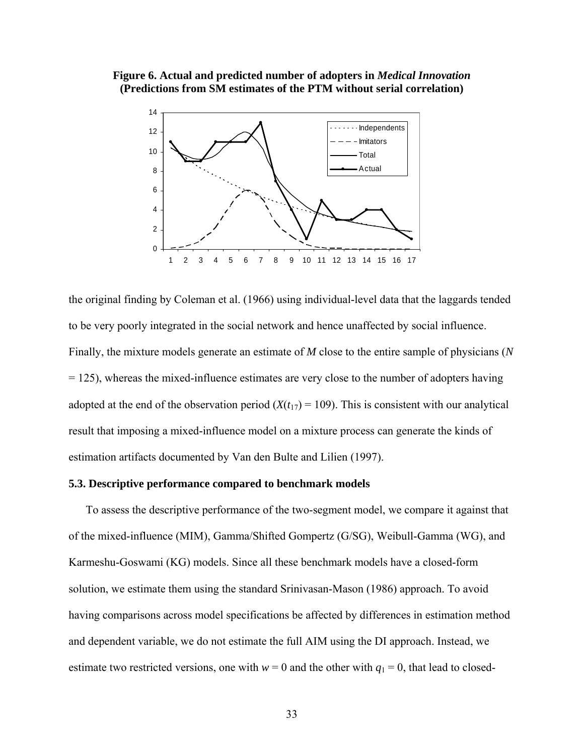### **Figure 6. Actual and predicted number of adopters in** *Medical Innovation*  **(Predictions from SM estimates of the PTM without serial correlation)**



the original finding by Coleman et al. (1966) using individual-level data that the laggards tended to be very poorly integrated in the social network and hence unaffected by social influence. Finally, the mixture models generate an estimate of *M* close to the entire sample of physicians (*N*  $= 125$ ), whereas the mixed-influence estimates are very close to the number of adopters having adopted at the end of the observation period  $(X(t_{17}) = 109)$ . This is consistent with our analytical result that imposing a mixed-influence model on a mixture process can generate the kinds of estimation artifacts documented by Van den Bulte and Lilien (1997).

### **5.3. Descriptive performance compared to benchmark models**

To assess the descriptive performance of the two-segment model, we compare it against that of the mixed-influence (MIM), Gamma/Shifted Gompertz (G/SG), Weibull-Gamma (WG), and Karmeshu-Goswami (KG) models. Since all these benchmark models have a closed-form solution, we estimate them using the standard Srinivasan-Mason (1986) approach. To avoid having comparisons across model specifications be affected by differences in estimation method and dependent variable, we do not estimate the full AIM using the DI approach. Instead, we estimate two restricted versions, one with  $w = 0$  and the other with  $q_1 = 0$ , that lead to closed-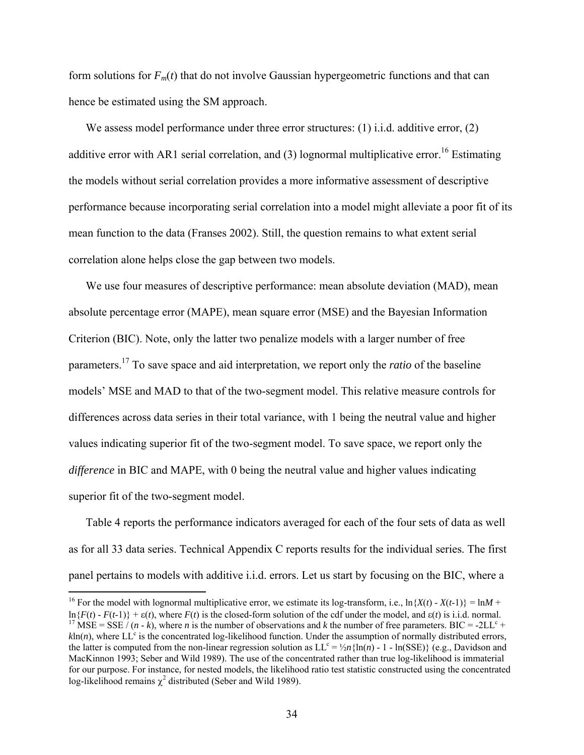form solutions for  $F_m(t)$  that do not involve Gaussian hypergeometric functions and that can hence be estimated using the SM approach.

We assess model performance under three error structures: (1) i.i.d. additive error, (2) additive error with AR1 serial correlation, and  $(3)$  lognormal multiplicative error.<sup>16</sup> Estimating the models without serial correlation provides a more informative assessment of descriptive performance because incorporating serial correlation into a model might alleviate a poor fit of its mean function to the data (Franses 2002). Still, the question remains to what extent serial correlation alone helps close the gap between two models.

We use four measures of descriptive performance: mean absolute deviation (MAD), mean absolute percentage error (MAPE), mean square error (MSE) and the Bayesian Information Criterion (BIC). Note, only the latter two penalize models with a larger number of free parameters.17 To save space and aid interpretation, we report only the *ratio* of the baseline models' MSE and MAD to that of the two-segment model. This relative measure controls for differences across data series in their total variance, with 1 being the neutral value and higher values indicating superior fit of the two-segment model. To save space, we report only the *difference* in BIC and MAPE, with 0 being the neutral value and higher values indicating superior fit of the two-segment model.

Table 4 reports the performance indicators averaged for each of the four sets of data as well as for all 33 data series. Technical Appendix C reports results for the individual series. The first panel pertains to models with additive i.i.d. errors. Let us start by focusing on the BIC, where a

<sup>&</sup>lt;sup>16</sup> For the model with lognormal multiplicative error, we estimate its log-transform, i.e.,  $\ln\{X(t) - X(t-1)\} = \ln M + \ln\{F(t) - F(t-1)\} + \varepsilon(t)$ , where  $F(t)$  is the closed-form solution of the cdf under the model, and  $\varepsilon(t)$  is i ln { $F(t)$  -  $F(t-1)$ } +  $\varepsilon(t)$ , where  $F(t)$  is the closed-form solution of the cdf under the model, and  $\varepsilon(t)$  is i.i.d. normal.<br><sup>17</sup> MSE = SSE / (*n* - *k*), where *n* is the number of observations and *k* the number of  $kln(n)$ , where LL<sup>c</sup> is the concentrated log-likelihood function. Under the assumption of normally distributed errors, the latter is computed from the non-linear regression solution as  $LL^c = \frac{1}{2}n\{\ln(n) - 1 - \ln(SSE)\}\)$  (e.g., Davidson and MacKinnon 1993; Seber and Wild 1989). The use of the concentrated rather than true log-likelihood is immaterial for our purpose. For instance, for nested models, the likelihood ratio test statistic constructed using the concentrated log-likelihood remains  $\chi^2$  distributed (Seber and Wild 1989).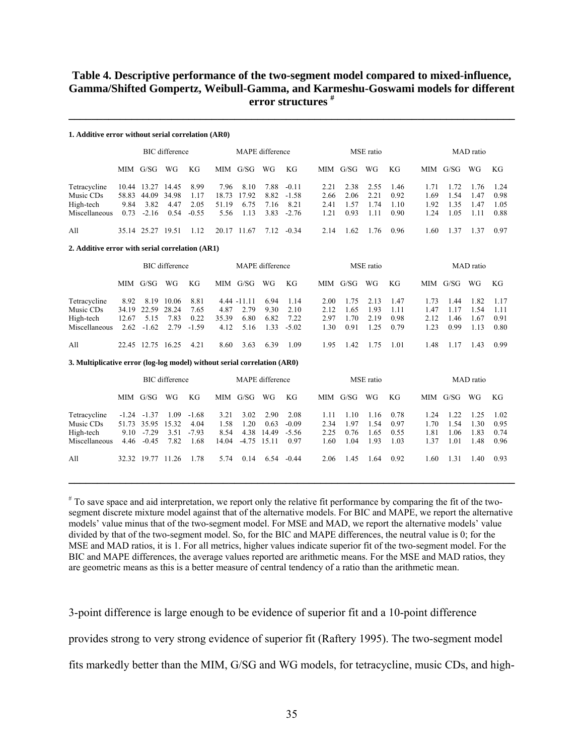# **Table 4. Descriptive performance of the two-segment model compared to mixed-influence, Gamma/Shifted Gompertz, Weibull-Gamma, and Karmeshu-Goswami models for different error structures #**

**\_\_\_\_\_\_\_\_\_\_\_\_\_\_\_\_\_\_\_\_\_\_\_\_\_\_\_\_\_\_\_\_\_\_\_\_\_\_\_\_\_\_\_\_\_\_\_\_\_\_\_\_\_\_\_\_\_\_\_\_\_\_\_\_\_\_\_\_\_\_\_\_\_\_\_\_\_\_** 

| 1. Additive error without serial correlation (AR0)                       |       |                       |                       |           |       |                 |       |         |           |             |      |      |           |           |      |      |  |
|--------------------------------------------------------------------------|-------|-----------------------|-----------------------|-----------|-------|-----------------|-------|---------|-----------|-------------|------|------|-----------|-----------|------|------|--|
|                                                                          |       | <b>BIC</b> difference |                       |           |       | MAPE difference |       |         | MSE ratio |             |      |      | MAD ratio |           |      |      |  |
|                                                                          |       | MIM G/SG WG           |                       | KG        |       | MIM G/SG        | WG    | KG      |           | MIM G/SG    | WG   | KG   |           | MIM G/SG  | WG   | KG   |  |
| Tetracycline                                                             |       | 10.44 13.27 14.45     |                       | 8.99      | 7.96  | 8.10            | 7.88  | $-0.11$ | 2.21      | 2.38        | 2.55 | 1.46 | 1.71      | 1.72      | 1.76 | 1.24 |  |
| Music CDs                                                                |       | 58.83 44.09           | 34.98                 | 1.17      | 18.73 | 17.92           | 8.82  | $-1.58$ | 2.66      | 2.06        | 2.21 | 0.92 | 1.69      | 1.54      | 1.47 | 0.98 |  |
| High-tech                                                                | 9.84  | 3.82                  | 4.47                  | 2.05      | 51.19 | 6.75            | 7.16  | 8.21    | 2.41      | 1.57        | 1.74 | 1.10 | 1.92      | 1.35      | 1.47 | 1.05 |  |
| Miscellaneous                                                            | 0.73  | $-2.16$               | 0.54                  | $-0.55$   | 5.56  | 1.13            | 3.83  | $-2.76$ | 1.21      | 0.93        | 1.11 | 0.90 | 1.24      | 1.05      | 1.11 | 0.88 |  |
| All                                                                      |       | 35.14 25.27 19.51     |                       | 1.12      |       | 20.17 11.67     | 7.12  | $-0.34$ | 2.14      | 1.62        | 1.76 | 0.96 | 1.60      | 1.37      | 1.37 | 0.97 |  |
| 2. Additive error with serial correlation (AR1)                          |       |                       |                       |           |       |                 |       |         |           |             |      |      |           |           |      |      |  |
|                                                                          |       |                       | <b>BIC</b> difference |           |       | MAPE difference |       |         |           | MSE ratio   |      |      |           | MAD ratio |      |      |  |
|                                                                          |       | MIM G/SG WG           |                       | <b>KG</b> |       | MIM G/SG WG     |       | KG      |           | MIM G/SG WG |      | KG   |           | MIM G/SG  | WG   | KG   |  |
| Tetracycline                                                             | 8.92  |                       | 8.19 10.06            | 8.81      |       | 4.44 -11.11     | 6.94  | 1.14    | 2.00      | 1.75        | 2.13 | 1.47 | 1.73      | 1.44      | 1.82 | 1.17 |  |
| Music CDs                                                                | 34.19 | 22.59                 | 28.24                 | 7.65      | 4.87  | 2.79            | 9.30  | 2.10    | 2.12      | 1.65        | 1.93 | 1.11 | 1.47      | 1.17      | 1.54 | 1.11 |  |
| High-tech                                                                | 12.67 | 5.15                  | 7.83                  | 0.22      | 35.39 | 6.80            | 6.82  | 7.22    | 2.97      | 1.70        | 2.19 | 0.98 | 2.12      | 1.46      | 1.67 | 0.91 |  |
| Miscellaneous                                                            | 2.62  | $-1.62$               | 2.79                  | $-1.59$   | 4.12  | 5.16            | 1.33  | $-5.02$ | 1.30      | 0.91        | 1.25 | 0.79 | 1.23      | 0.99      | 1.13 | 0.80 |  |
| A11                                                                      |       | 22.45 12.75 16.25     |                       | 4.21      | 8.60  | 3.63            | 6.39  | 1.09    | 1.95      | 1.42        | 1.75 | 1.01 | 1.48      | 1.17      | 1.43 | 0.99 |  |
| 3. Multiplicative error (log-log model) without serial correlation (AR0) |       |                       |                       |           |       |                 |       |         |           |             |      |      |           |           |      |      |  |
|                                                                          |       |                       | <b>BIC</b> difference |           |       | MAPE difference |       |         |           | MSE ratio   |      |      |           | MAD ratio |      |      |  |
|                                                                          |       | MIM G/SG              | WG                    | KG        |       | MIM G/SG        | WG    | KG      |           | MIM G/SG    | - WG | KG   |           | MIM G/SG  | WG   | KG   |  |
| Tetracycline                                                             |       | $-1.24 -1.37$         | 1.09                  | $-1.68$   | 3.21  | 3.02            | 2.90  | 2.08    | 1.11      | 1.10        | 1.16 | 0.78 | 1.24      | 1.22      | 1.25 | 1.02 |  |
| Music CDs                                                                |       | 51.73 35.95           | 15.32                 | 4.04      | 1.58  | 1.20            | 0.63  | $-0.09$ | 2.34      | 1.97        | 1.54 | 0.97 | 1.70      | 1.54      | 1.30 | 0.95 |  |
| High-tech                                                                | 9.10  | $-7.29$               | 3.51                  | $-7.93$   | 8.54  | 4.38            | 14.49 | $-5.56$ | 2.25      | 0.76        | 1.65 | 0.55 | 1.81      | 1.06      | 1.83 | 0.74 |  |
| Miscellaneous                                                            | 4.46  | $-0.45$               | 7.82                  | 1.68      | 14.04 | $-4.75$         | 15.11 | 0.97    | 1.60      | 1.04        | 1.93 | 1.03 | 1.37      | 1.01      | 1.48 | 0.96 |  |
| All                                                                      |       | 32.32 19.77 11.26     |                       | 1.78      | 5.74  | 0.14            | 6.54  | $-0.44$ | 2.06      | 1.45        | 1.64 | 0.92 | 1.60      | 1.31      | 1.40 | 0.93 |  |
|                                                                          |       |                       |                       |           |       |                 |       |         |           |             |      |      |           |           |      |      |  |

# To save space and aid interpretation, we report only the relative fit performance by comparing the fit of the twosegment discrete mixture model against that of the alternative models. For BIC and MAPE, we report the alternative models' value minus that of the two-segment model. For MSE and MAD, we report the alternative models' value divided by that of the two-segment model. So, for the BIC and MAPE differences, the neutral value is 0; for the MSE and MAD ratios, it is 1. For all metrics, higher values indicate superior fit of the two-segment model. For the BIC and MAPE differences, the average values reported are arithmetic means. For the MSE and MAD ratios, they are geometric means as this is a better measure of central tendency of a ratio than the arithmetic mean.

3-point difference is large enough to be evidence of superior fit and a 10-point difference

provides strong to very strong evidence of superior fit (Raftery 1995). The two-segment model

fits markedly better than the MIM, G/SG and WG models, for tetracycline, music CDs, and high-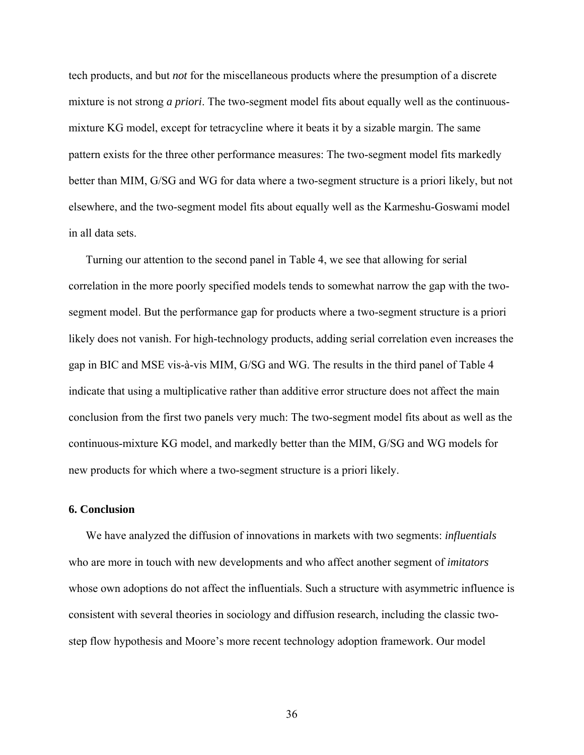tech products, and but *not* for the miscellaneous products where the presumption of a discrete mixture is not strong *a priori*. The two-segment model fits about equally well as the continuousmixture KG model, except for tetracycline where it beats it by a sizable margin. The same pattern exists for the three other performance measures: The two-segment model fits markedly better than MIM, G/SG and WG for data where a two-segment structure is a priori likely, but not elsewhere, and the two-segment model fits about equally well as the Karmeshu-Goswami model in all data sets.

Turning our attention to the second panel in Table 4, we see that allowing for serial correlation in the more poorly specified models tends to somewhat narrow the gap with the twosegment model. But the performance gap for products where a two-segment structure is a priori likely does not vanish. For high-technology products, adding serial correlation even increases the gap in BIC and MSE vis-à-vis MIM, G/SG and WG. The results in the third panel of Table 4 indicate that using a multiplicative rather than additive error structure does not affect the main conclusion from the first two panels very much: The two-segment model fits about as well as the continuous-mixture KG model, and markedly better than the MIM, G/SG and WG models for new products for which where a two-segment structure is a priori likely.

### **6. Conclusion**

We have analyzed the diffusion of innovations in markets with two segments: *influentials* who are more in touch with new developments and who affect another segment of *imitators* whose own adoptions do not affect the influentials. Such a structure with asymmetric influence is consistent with several theories in sociology and diffusion research, including the classic twostep flow hypothesis and Moore's more recent technology adoption framework. Our model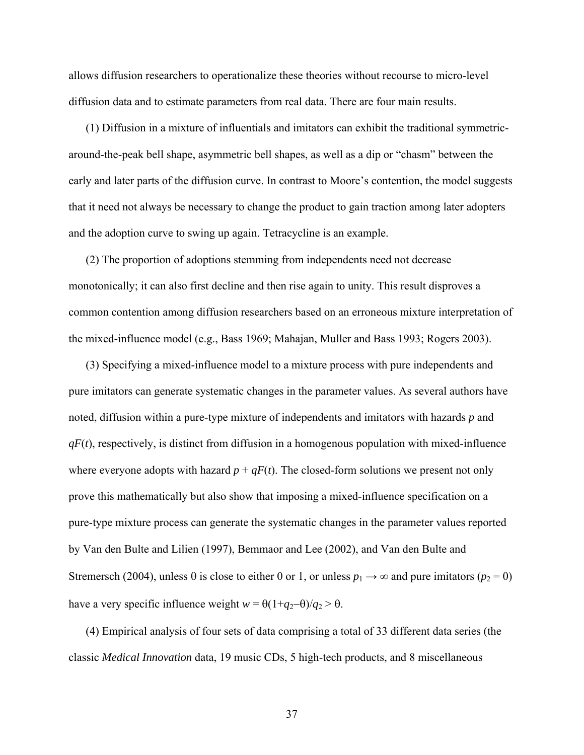allows diffusion researchers to operationalize these theories without recourse to micro-level diffusion data and to estimate parameters from real data. There are four main results.

(1) Diffusion in a mixture of influentials and imitators can exhibit the traditional symmetricaround-the-peak bell shape, asymmetric bell shapes, as well as a dip or "chasm" between the early and later parts of the diffusion curve. In contrast to Moore's contention, the model suggests that it need not always be necessary to change the product to gain traction among later adopters and the adoption curve to swing up again. Tetracycline is an example.

(2) The proportion of adoptions stemming from independents need not decrease monotonically; it can also first decline and then rise again to unity. This result disproves a common contention among diffusion researchers based on an erroneous mixture interpretation of the mixed-influence model (e.g., Bass 1969; Mahajan, Muller and Bass 1993; Rogers 2003).

(3) Specifying a mixed-influence model to a mixture process with pure independents and pure imitators can generate systematic changes in the parameter values. As several authors have noted, diffusion within a pure-type mixture of independents and imitators with hazards *p* and  $qF(t)$ , respectively, is distinct from diffusion in a homogenous population with mixed-influence where everyone adopts with hazard  $p + qF(t)$ . The closed-form solutions we present not only prove this mathematically but also show that imposing a mixed-influence specification on a pure-type mixture process can generate the systematic changes in the parameter values reported by Van den Bulte and Lilien (1997), Bemmaor and Lee (2002), and Van den Bulte and Stremersch (2004), unless  $\theta$  is close to either 0 or 1, or unless  $p_1 \rightarrow \infty$  and pure imitators ( $p_2 = 0$ ) have a very specific influence weight  $w = \theta(1+q_2-\theta)/q_2 > \theta$ .

(4) Empirical analysis of four sets of data comprising a total of 33 different data series (the classic *Medical Innovation* data, 19 music CDs, 5 high-tech products, and 8 miscellaneous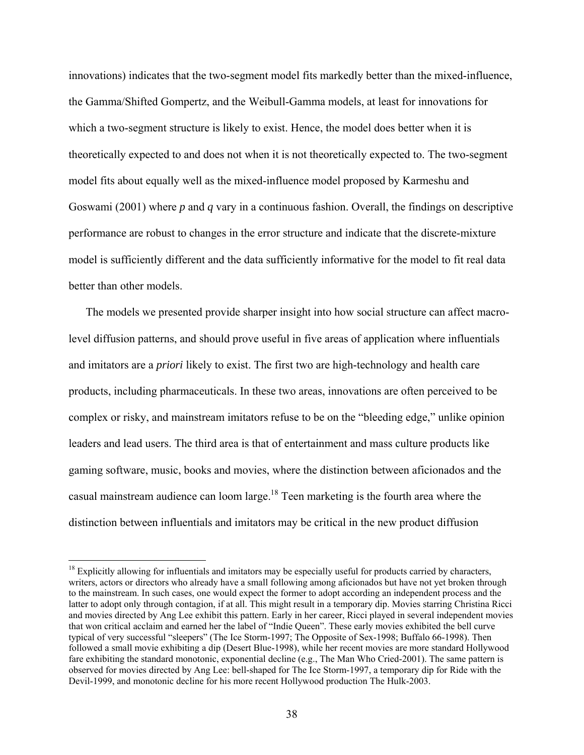innovations) indicates that the two-segment model fits markedly better than the mixed-influence, the Gamma/Shifted Gompertz, and the Weibull-Gamma models, at least for innovations for which a two-segment structure is likely to exist. Hence, the model does better when it is theoretically expected to and does not when it is not theoretically expected to. The two-segment model fits about equally well as the mixed-influence model proposed by Karmeshu and Goswami (2001) where *p* and *q* vary in a continuous fashion. Overall, the findings on descriptive performance are robust to changes in the error structure and indicate that the discrete-mixture model is sufficiently different and the data sufficiently informative for the model to fit real data better than other models.

The models we presented provide sharper insight into how social structure can affect macrolevel diffusion patterns, and should prove useful in five areas of application where influentials and imitators are a *priori* likely to exist. The first two are high-technology and health care products, including pharmaceuticals. In these two areas, innovations are often perceived to be complex or risky, and mainstream imitators refuse to be on the "bleeding edge," unlike opinion leaders and lead users. The third area is that of entertainment and mass culture products like gaming software, music, books and movies, where the distinction between aficionados and the casual mainstream audience can loom large.18 Teen marketing is the fourth area where the distinction between influentials and imitators may be critical in the new product diffusion

 $18$  Explicitly allowing for influentials and imitators may be especially useful for products carried by characters, writers, actors or directors who already have a small following among aficionados but have not yet broken through to the mainstream. In such cases, one would expect the former to adopt according an independent process and the latter to adopt only through contagion, if at all. This might result in a temporary dip. Movies starring Christina Ricci and movies directed by Ang Lee exhibit this pattern. Early in her career, Ricci played in several independent movies that won critical acclaim and earned her the label of "Indie Queen". These early movies exhibited the bell curve typical of very successful "sleepers" (The Ice Storm-1997; The Opposite of Sex-1998; Buffalo 66-1998). Then followed a small movie exhibiting a dip (Desert Blue-1998), while her recent movies are more standard Hollywood fare exhibiting the standard monotonic, exponential decline (e.g., The Man Who Cried-2001). The same pattern is observed for movies directed by Ang Lee: bell-shaped for The Ice Storm-1997, a temporary dip for Ride with the Devil-1999, and monotonic decline for his more recent Hollywood production The Hulk-2003.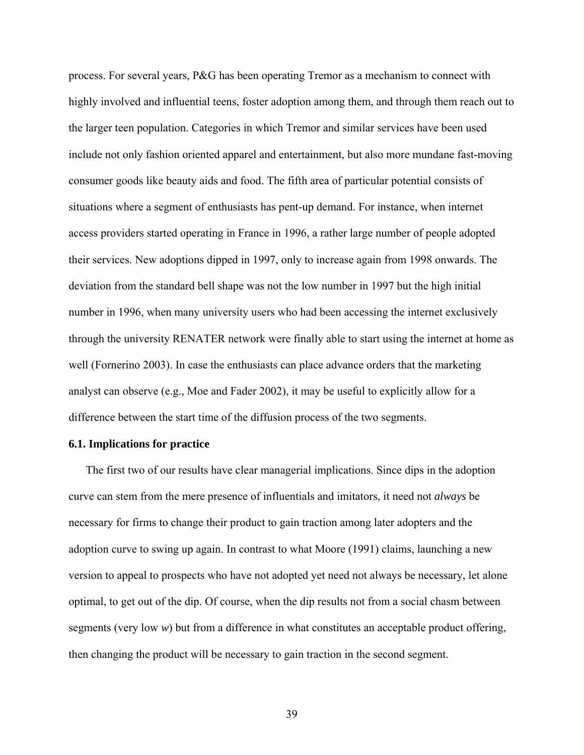process. For several years, P&G has been operating Tremor as a mechanism to connect with highly involved and influential teens, foster adoption among them, and through them reach out to the larger teen population. Categories in which Tremor and similar services have been used include not only fashion oriented apparel and entertainment, but also more mundane fast-moving consumer goods like beauty aids and food. The fifth area of particular potential consists of situations where a segment of enthusiasts has pent-up demand. For instance, when internet access providers started operating in France in 1996, a rather large number of people adopted their services. New adoptions dipped in 1997, only to increase again from 1998 onwards. The deviation from the standard bell shape was not the low number in 1997 but the high initial number in 1996, when many university users who had been accessing the internet exclusively through the university RENATER network were finally able to start using the internet at home as well (Fornerino 2003). In case the enthusiasts can place advance orders that the marketing analyst can observe (e.g., Moe and Fader 2002), it may be useful to explicitly allow for a difference between the start time of the diffusion process of the two segments.

### **6.1. Implications for practice**

The first two of our results have clear managerial implications. Since dips in the adoption curve can stem from the mere presence of influentials and imitators, it need not *always* be necessary for firms to change their product to gain traction among later adopters and the adoption curve to swing up again. In contrast to what Moore (1991) claims, launching a new version to appeal to prospects who have not adopted yet need not always be necessary, let alone optimal, to get out of the dip. Of course, when the dip results not from a social chasm between segments (very low *w*) but from a difference in what constitutes an acceptable product offering, then changing the product will be necessary to gain traction in the second segment.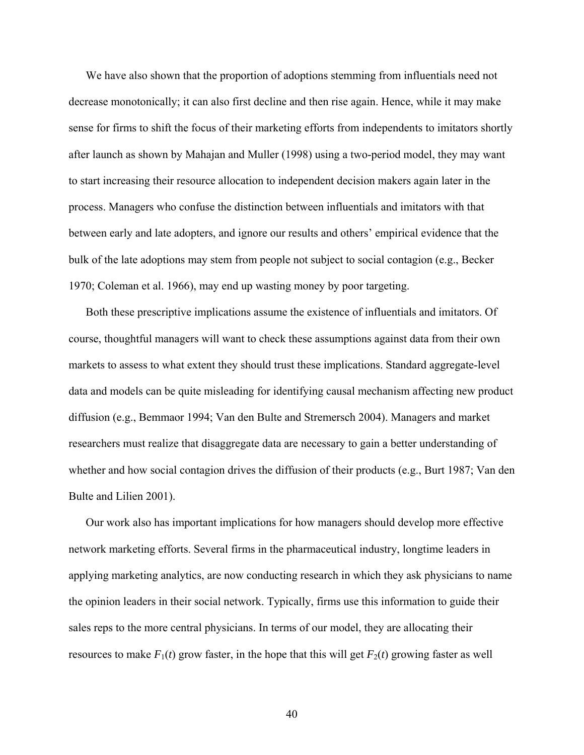We have also shown that the proportion of adoptions stemming from influentials need not decrease monotonically; it can also first decline and then rise again. Hence, while it may make sense for firms to shift the focus of their marketing efforts from independents to imitators shortly after launch as shown by Mahajan and Muller (1998) using a two-period model, they may want to start increasing their resource allocation to independent decision makers again later in the process. Managers who confuse the distinction between influentials and imitators with that between early and late adopters, and ignore our results and others' empirical evidence that the bulk of the late adoptions may stem from people not subject to social contagion (e.g., Becker 1970; Coleman et al. 1966), may end up wasting money by poor targeting.

Both these prescriptive implications assume the existence of influentials and imitators. Of course, thoughtful managers will want to check these assumptions against data from their own markets to assess to what extent they should trust these implications. Standard aggregate-level data and models can be quite misleading for identifying causal mechanism affecting new product diffusion (e.g., Bemmaor 1994; Van den Bulte and Stremersch 2004). Managers and market researchers must realize that disaggregate data are necessary to gain a better understanding of whether and how social contagion drives the diffusion of their products (e.g., Burt 1987; Van den Bulte and Lilien 2001).

Our work also has important implications for how managers should develop more effective network marketing efforts. Several firms in the pharmaceutical industry, longtime leaders in applying marketing analytics, are now conducting research in which they ask physicians to name the opinion leaders in their social network. Typically, firms use this information to guide their sales reps to the more central physicians. In terms of our model, they are allocating their resources to make  $F_1(t)$  grow faster, in the hope that this will get  $F_2(t)$  growing faster as well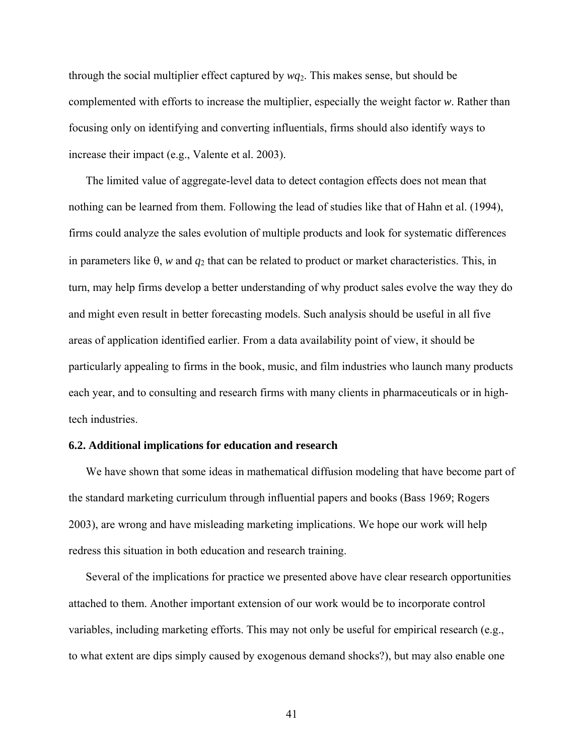through the social multiplier effect captured by *wq*2. This makes sense, but should be complemented with efforts to increase the multiplier, especially the weight factor *w*. Rather than focusing only on identifying and converting influentials, firms should also identify ways to increase their impact (e.g., Valente et al. 2003).

The limited value of aggregate-level data to detect contagion effects does not mean that nothing can be learned from them. Following the lead of studies like that of Hahn et al. (1994), firms could analyze the sales evolution of multiple products and look for systematic differences in parameters like θ, *w* and *q*2 that can be related to product or market characteristics. This, in turn, may help firms develop a better understanding of why product sales evolve the way they do and might even result in better forecasting models. Such analysis should be useful in all five areas of application identified earlier. From a data availability point of view, it should be particularly appealing to firms in the book, music, and film industries who launch many products each year, and to consulting and research firms with many clients in pharmaceuticals or in hightech industries.

### **6.2. Additional implications for education and research**

We have shown that some ideas in mathematical diffusion modeling that have become part of the standard marketing curriculum through influential papers and books (Bass 1969; Rogers 2003), are wrong and have misleading marketing implications. We hope our work will help redress this situation in both education and research training.

Several of the implications for practice we presented above have clear research opportunities attached to them. Another important extension of our work would be to incorporate control variables, including marketing efforts. This may not only be useful for empirical research (e.g., to what extent are dips simply caused by exogenous demand shocks?), but may also enable one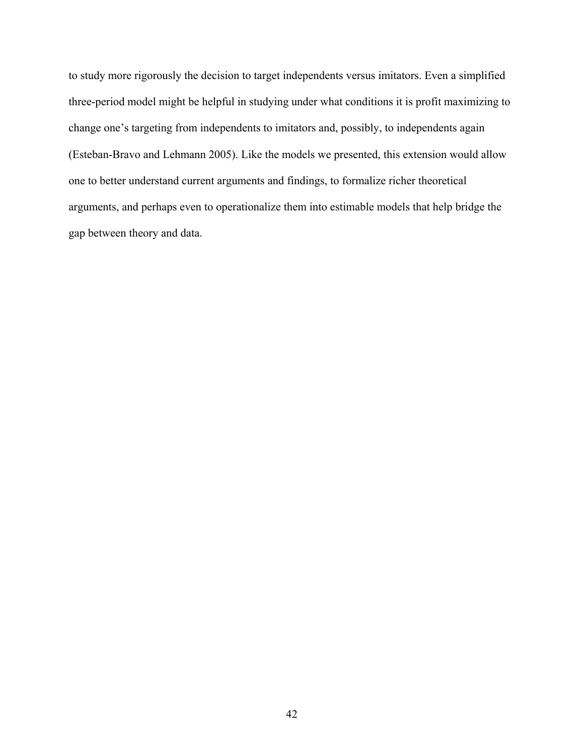to study more rigorously the decision to target independents versus imitators. Even a simplified three-period model might be helpful in studying under what conditions it is profit maximizing to change one's targeting from independents to imitators and, possibly, to independents again (Esteban-Bravo and Lehmann 2005). Like the models we presented, this extension would allow one to better understand current arguments and findings, to formalize richer theoretical arguments, and perhaps even to operationalize them into estimable models that help bridge the gap between theory and data.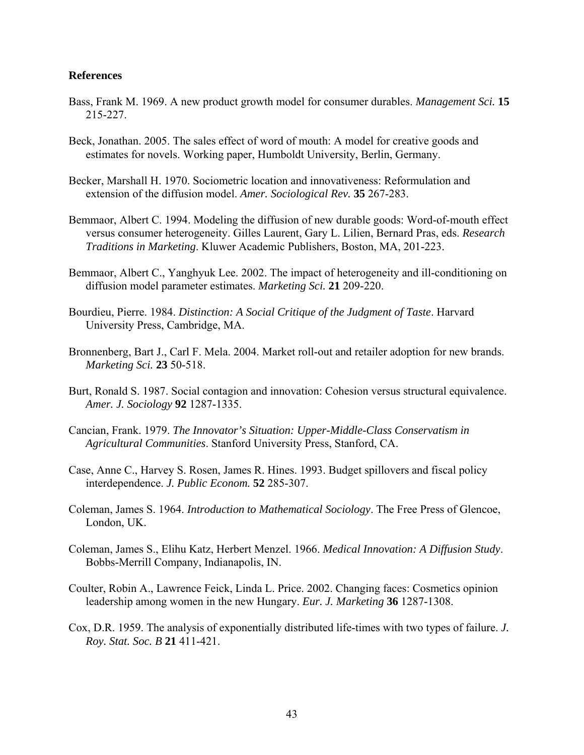### **References**

- Bass, Frank M. 1969. A new product growth model for consumer durables. *Management Sci.* **15** 215-227.
- Beck, Jonathan. 2005. The sales effect of word of mouth: A model for creative goods and estimates for novels. Working paper, Humboldt University, Berlin, Germany.
- Becker, Marshall H. 1970. Sociometric location and innovativeness: Reformulation and extension of the diffusion model. *Amer. Sociological Rev.* **35** 267-283.
- Bemmaor, Albert C. 1994. Modeling the diffusion of new durable goods: Word-of-mouth effect versus consumer heterogeneity. Gilles Laurent, Gary L. Lilien, Bernard Pras, eds. *Research Traditions in Marketing*. Kluwer Academic Publishers, Boston, MA, 201-223.
- Bemmaor, Albert C., Yanghyuk Lee. 2002. The impact of heterogeneity and ill-conditioning on diffusion model parameter estimates. *Marketing Sci.* **21** 209-220.
- Bourdieu, Pierre. 1984. *Distinction: A Social Critique of the Judgment of Taste*. Harvard University Press, Cambridge, MA.
- Bronnenberg, Bart J., Carl F. Mela. 2004. Market roll-out and retailer adoption for new brands. *Marketing Sci.* **23** 50-518.
- Burt, Ronald S. 1987. Social contagion and innovation: Cohesion versus structural equivalence. *Amer. J. Sociology* **92** 1287-1335.
- Cancian, Frank. 1979. *The Innovator's Situation: Upper-Middle-Class Conservatism in Agricultural Communities*. Stanford University Press, Stanford, CA.
- Case, Anne C., Harvey S. Rosen, James R. Hines. 1993. Budget spillovers and fiscal policy interdependence. *J. Public Econom.* **52** 285-307.
- Coleman, James S. 1964. *Introduction to Mathematical Sociology*. The Free Press of Glencoe, London, UK.
- Coleman, James S., Elihu Katz, Herbert Menzel. 1966. *Medical Innovation: A Diffusion Study*. Bobbs-Merrill Company, Indianapolis, IN.
- Coulter, Robin A., Lawrence Feick, Linda L. Price. 2002. Changing faces: Cosmetics opinion leadership among women in the new Hungary. *Eur. J. Marketing* **36** 1287-1308.
- Cox, D.R. 1959. The analysis of exponentially distributed life-times with two types of failure. *J. Roy. Stat. Soc. B* **21** 411-421.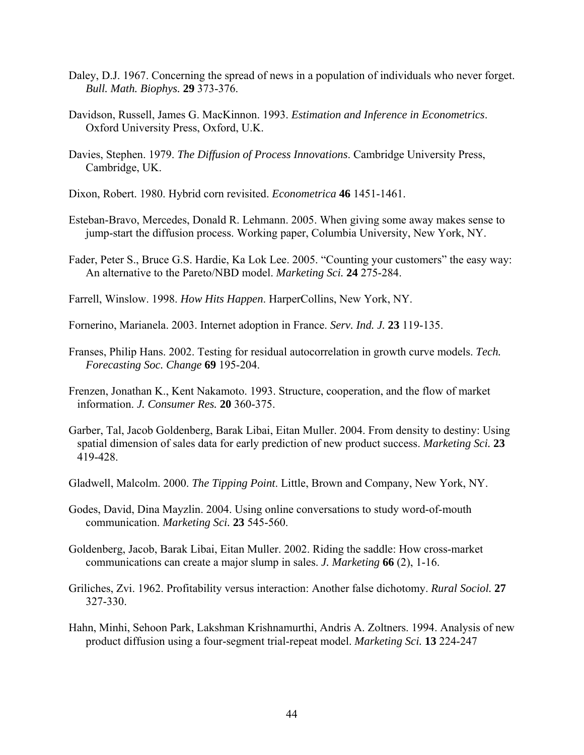- Daley, D.J. 1967. Concerning the spread of news in a population of individuals who never forget. *Bull. Math. Biophys.* **29** 373-376.
- Davidson, Russell, James G. MacKinnon. 1993. *Estimation and Inference in Econometrics*. Oxford University Press, Oxford, U.K.
- Davies, Stephen. 1979. *The Diffusion of Process Innovations*. Cambridge University Press, Cambridge, UK.
- Dixon, Robert. 1980. Hybrid corn revisited. *Econometrica* **46** 1451-1461.
- Esteban-Bravo, Mercedes, Donald R. Lehmann. 2005. When giving some away makes sense to jump-start the diffusion process. Working paper, Columbia University, New York, NY.
- Fader, Peter S., Bruce G.S. Hardie, Ka Lok Lee. 2005. "Counting your customers" the easy way: An alternative to the Pareto/NBD model. *Marketing Sci.* **24** 275-284.
- Farrell, Winslow. 1998. *How Hits Happen*. HarperCollins, New York, NY.
- Fornerino, Marianela. 2003. Internet adoption in France. *Serv. Ind. J.* **23** 119-135.
- Franses, Philip Hans. 2002. Testing for residual autocorrelation in growth curve models. *Tech. Forecasting Soc. Change* **69** 195-204.
- Frenzen, Jonathan K., Kent Nakamoto. 1993. Structure, cooperation, and the flow of market information. *J. Consumer Res.* **20** 360-375.
- Garber, Tal, Jacob Goldenberg, Barak Libai, Eitan Muller. 2004. From density to destiny: Using spatial dimension of sales data for early prediction of new product success. *Marketing Sci.* **23** 419-428.
- Gladwell, Malcolm. 2000. *The Tipping Point*. Little, Brown and Company, New York, NY.
- Godes, David, Dina Mayzlin. 2004. Using online conversations to study word-of-mouth communication. *Marketing Sci.* **23** 545-560.
- Goldenberg, Jacob, Barak Libai, Eitan Muller. 2002. Riding the saddle: How cross-market communications can create a major slump in sales. *J. Marketing* **66** (2), 1-16.
- Griliches, Zvi. 1962. Profitability versus interaction: Another false dichotomy. *Rural Sociol.* **27** 327-330.
- Hahn, Minhi, Sehoon Park, Lakshman Krishnamurthi, Andris A. Zoltners. 1994. Analysis of new product diffusion using a four-segment trial-repeat model. *Marketing Sci.* **13** 224-247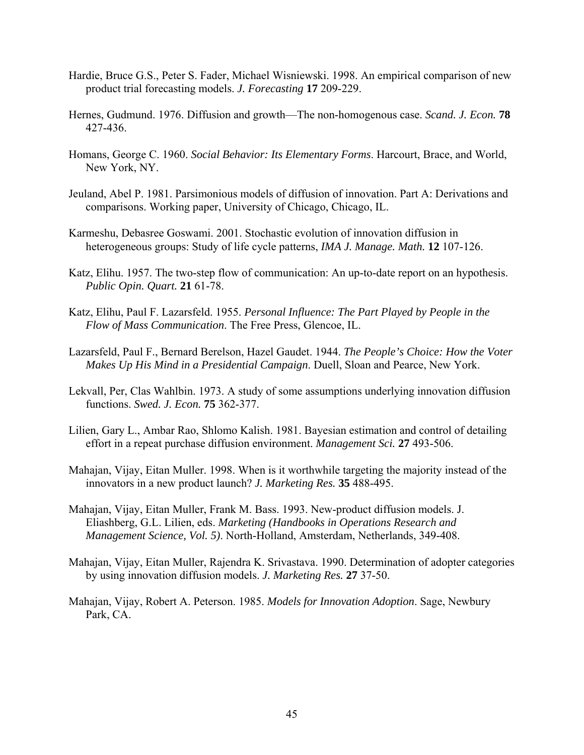- Hardie, Bruce G.S., Peter S. Fader, Michael Wisniewski. 1998. An empirical comparison of new product trial forecasting models. *J. Forecasting* **17** 209-229.
- Hernes, Gudmund. 1976. Diffusion and growth—The non-homogenous case. *Scand. J. Econ.* **78** 427-436.
- Homans, George C. 1960. *Social Behavior: Its Elementary Forms*. Harcourt, Brace, and World, New York, NY.
- Jeuland, Abel P. 1981. Parsimonious models of diffusion of innovation. Part A: Derivations and comparisons. Working paper, University of Chicago, Chicago, IL.
- Karmeshu, Debasree Goswami. 2001. Stochastic evolution of innovation diffusion in heterogeneous groups: Study of life cycle patterns, *IMA J. Manage. Math.* **12** 107-126.
- Katz, Elihu. 1957. The two-step flow of communication: An up-to-date report on an hypothesis. *Public Opin. Quart.* **21** 61-78.
- Katz, Elihu, Paul F. Lazarsfeld. 1955. *Personal Influence: The Part Played by People in the Flow of Mass Communication*. The Free Press, Glencoe, IL.
- Lazarsfeld, Paul F., Bernard Berelson, Hazel Gaudet. 1944. *The People's Choice: How the Voter Makes Up His Mind in a Presidential Campaign*. Duell, Sloan and Pearce, New York.
- Lekvall, Per, Clas Wahlbin. 1973. A study of some assumptions underlying innovation diffusion functions. *Swed. J. Econ.* **75** 362-377.
- Lilien, Gary L., Ambar Rao, Shlomo Kalish. 1981. Bayesian estimation and control of detailing effort in a repeat purchase diffusion environment. *Management Sci.* **27** 493-506.
- Mahajan, Vijay, Eitan Muller. 1998. When is it worthwhile targeting the majority instead of the innovators in a new product launch? *J. Marketing Res.* **35** 488-495.
- Mahajan, Vijay, Eitan Muller, Frank M. Bass. 1993. New-product diffusion models. J. Eliashberg, G.L. Lilien, eds. *Marketing (Handbooks in Operations Research and Management Science, Vol. 5)*. North-Holland, Amsterdam, Netherlands, 349-408.
- Mahajan, Vijay, Eitan Muller, Rajendra K. Srivastava. 1990. Determination of adopter categories by using innovation diffusion models. *J. Marketing Res.* **27** 37-50.
- Mahajan, Vijay, Robert A. Peterson. 1985. *Models for Innovation Adoption*. Sage, Newbury Park, CA.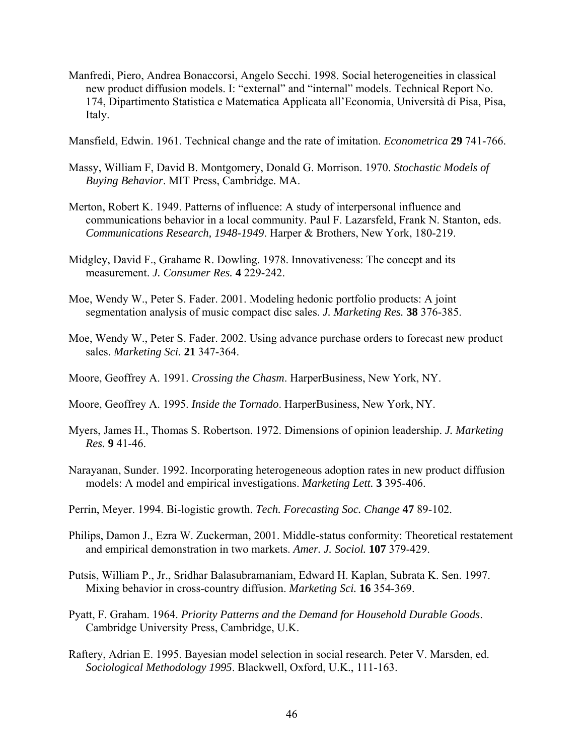Manfredi, Piero, Andrea Bonaccorsi, Angelo Secchi. 1998. Social heterogeneities in classical new product diffusion models. I: "external" and "internal" models. Technical Report No. 174, Dipartimento Statistica e Matematica Applicata all'Economia, Università di Pisa, Pisa, Italy.

Mansfield, Edwin. 1961. Technical change and the rate of imitation. *Econometrica* **29** 741-766.

- Massy, William F, David B. Montgomery, Donald G. Morrison. 1970. *Stochastic Models of Buying Behavior*. MIT Press, Cambridge. MA.
- Merton, Robert K. 1949. Patterns of influence: A study of interpersonal influence and communications behavior in a local community. Paul F. Lazarsfeld, Frank N. Stanton, eds. *Communications Research, 1948-1949*. Harper & Brothers, New York, 180-219.
- Midgley, David F., Grahame R. Dowling. 1978. Innovativeness: The concept and its measurement. *J. Consumer Res.* **4** 229-242.
- Moe, Wendy W., Peter S. Fader. 2001. Modeling hedonic portfolio products: A joint segmentation analysis of music compact disc sales. *J. Marketing Res.* **38** 376-385.
- Moe, Wendy W., Peter S. Fader. 2002. Using advance purchase orders to forecast new product sales. *Marketing Sci.* **21** 347-364.
- Moore, Geoffrey A. 1991. *Crossing the Chasm*. HarperBusiness, New York, NY.
- Moore, Geoffrey A. 1995. *Inside the Tornado*. HarperBusiness, New York, NY.
- Myers, James H., Thomas S. Robertson. 1972. Dimensions of opinion leadership. *J. Marketing Res.* **9** 41-46.
- Narayanan, Sunder. 1992. Incorporating heterogeneous adoption rates in new product diffusion models: A model and empirical investigations. *Marketing Lett.* **3** 395-406.
- Perrin, Meyer. 1994. Bi-logistic growth. *Tech. Forecasting Soc. Change* **47** 89-102.
- Philips, Damon J., Ezra W. Zuckerman, 2001. Middle-status conformity: Theoretical restatement and empirical demonstration in two markets. *Amer. J. Sociol.* **107** 379-429.
- Putsis, William P., Jr., Sridhar Balasubramaniam, Edward H. Kaplan, Subrata K. Sen. 1997. Mixing behavior in cross-country diffusion. *Marketing Sci.* **16** 354-369.
- Pyatt, F. Graham. 1964. *Priority Patterns and the Demand for Household Durable Goods*. Cambridge University Press, Cambridge, U.K.
- Raftery, Adrian E. 1995. Bayesian model selection in social research. Peter V. Marsden, ed. *Sociological Methodology 1995*. Blackwell, Oxford, U.K., 111-163.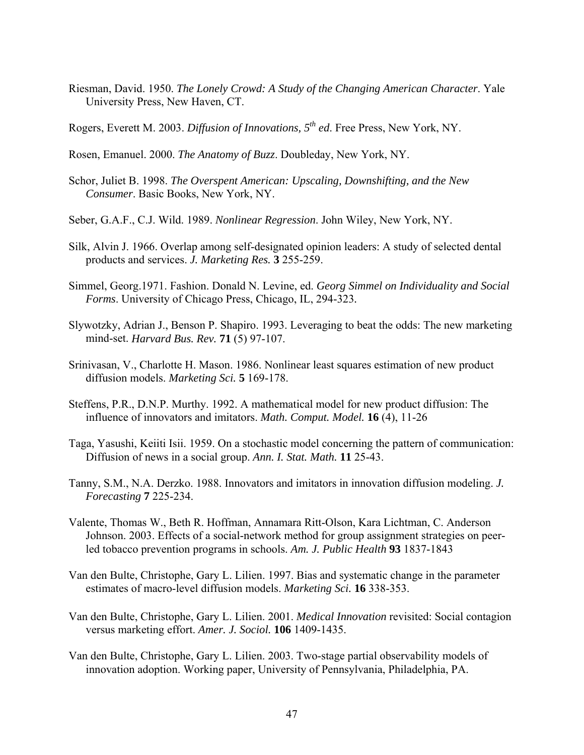Riesman, David. 1950. *The Lonely Crowd: A Study of the Changing American Character*. Yale University Press, New Haven, CT.

Rogers, Everett M. 2003. *Diffusion of Innovations, 5th ed*. Free Press, New York, NY.

- Rosen, Emanuel. 2000. *The Anatomy of Buzz*. Doubleday, New York, NY.
- Schor, Juliet B. 1998. *The Overspent American: Upscaling, Downshifting, and the New Consumer*. Basic Books, New York, NY.
- Seber, G.A.F., C.J. Wild. 1989. *Nonlinear Regression*. John Wiley, New York, NY.
- Silk, Alvin J. 1966. Overlap among self-designated opinion leaders: A study of selected dental products and services. *J. Marketing Res.* **3** 255-259.
- Simmel, Georg.1971. Fashion. Donald N. Levine, ed. *Georg Simmel on Individuality and Social Forms*. University of Chicago Press, Chicago, IL, 294-323*.*
- Slywotzky, Adrian J., Benson P. Shapiro. 1993. Leveraging to beat the odds: The new marketing mind-set. *Harvard Bus. Rev.* **71** (5) 97-107.
- Srinivasan, V., Charlotte H. Mason. 1986. Nonlinear least squares estimation of new product diffusion models. *Marketing Sci.* **5** 169-178.
- Steffens, P.R., D.N.P. Murthy. 1992. A mathematical model for new product diffusion: The influence of innovators and imitators. *Math. Comput. Model.* **16** (4), 11-26
- Taga, Yasushi, Keiiti Isii. 1959. On a stochastic model concerning the pattern of communication: Diffusion of news in a social group. *Ann. I. Stat. Math.* **11** 25-43.
- Tanny, S.M., N.A. Derzko. 1988. Innovators and imitators in innovation diffusion modeling. *J. Forecasting* **7** 225-234.
- Valente, Thomas W., Beth R. Hoffman, Annamara Ritt-Olson, Kara Lichtman, C. Anderson Johnson. 2003. Effects of a social-network method for group assignment strategies on peerled tobacco prevention programs in schools. *Am. J. Public Health* **93** 1837-1843
- Van den Bulte, Christophe, Gary L. Lilien. 1997. Bias and systematic change in the parameter estimates of macro-level diffusion models. *Marketing Sci.* **16** 338-353.
- Van den Bulte, Christophe, Gary L. Lilien. 2001. *Medical Innovation* revisited: Social contagion versus marketing effort. *Amer. J. Sociol.* **106** 1409-1435.
- Van den Bulte, Christophe, Gary L. Lilien. 2003. Two-stage partial observability models of innovation adoption. Working paper, University of Pennsylvania, Philadelphia, PA.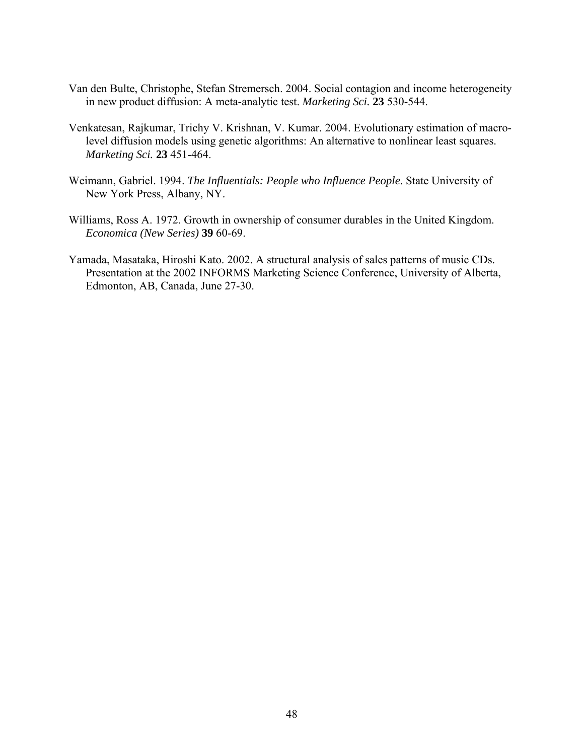- Van den Bulte, Christophe, Stefan Stremersch. 2004. Social contagion and income heterogeneity in new product diffusion: A meta-analytic test. *Marketing Sci.* **23** 530-544.
- Venkatesan, Rajkumar, Trichy V. Krishnan, V. Kumar. 2004. Evolutionary estimation of macrolevel diffusion models using genetic algorithms: An alternative to nonlinear least squares. *Marketing Sci.* **23** 451-464.
- Weimann, Gabriel. 1994. *The Influentials: People who Influence People*. State University of New York Press, Albany, NY.
- Williams, Ross A. 1972. Growth in ownership of consumer durables in the United Kingdom. *Economica (New Series)* **39** 60-69.
- Yamada, Masataka, Hiroshi Kato. 2002. A structural analysis of sales patterns of music CDs. Presentation at the 2002 INFORMS Marketing Science Conference, University of Alberta, Edmonton, AB, Canada, June 27-30.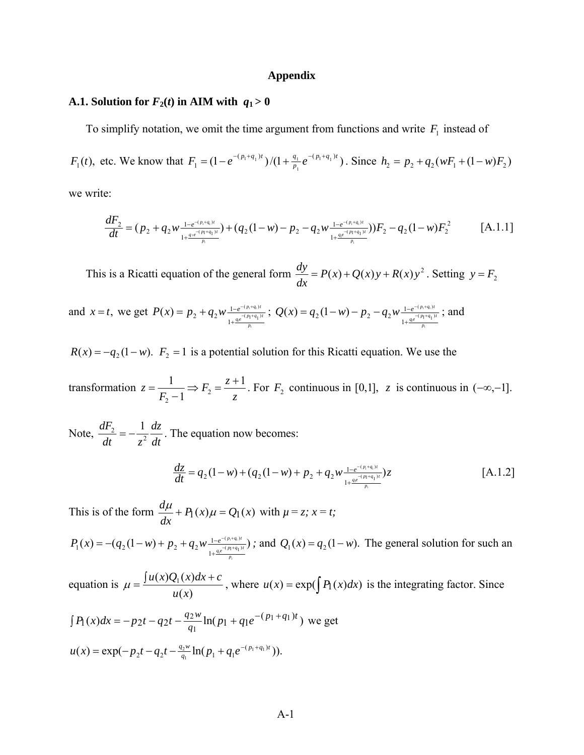#### **Appendix**

# **A.1. Solution for**  $F_2(t)$  **in AIM with**  $q_1 > 0$

To simplify notation, we omit the time argument from functions and write  $F_1$  instead of

$$
F_1(t)
$$
, etc. We know that  $F_1 = (1 - e^{-(p_1 + q_1)t})/(1 + \frac{q_1}{p_1}e^{-(p_1 + q_1)t})$ . Since  $h_2 = p_2 + q_2(wF_1 + (1 - w)F_2)$ 

we write:

$$
\frac{dF_2}{dt} = (p_2 + q_2 w \frac{1 - e^{-(p_1 + q_1)t}}{1 + \frac{q_1 e^{-(p_1 + q_1)t}}{p_1}}) + (q_2(1 - w) - p_2 - q_2 w \frac{1 - e^{-(p_1 + q_1)t}}{1 + \frac{q_1 e^{-(p_1 + q_1)t}}{p_1}})F_2 - q_2(1 - w)F_2^2
$$
 [A.1.1]

This is a Ricatti equation of the general form  $\frac{dy}{dx} = P(x) + Q(x)y + R(x)y^2$ . Setting  $y = F_2$ .

and  $x = t$ , we get  $P(x) = p_2 + q_2 w \frac{1-e^{-t}}{1+q_2}$  $\frac{(p_1 + q_1)^2}{(p_1 + q_1)}$  $(p_1 + q_1)$ 1  $(x) = p_2 + q_2 w^{\perp}$  $P(x) = p_2 + q_2 w \frac{1 - e^{-(p_1 + q_1)t}}{1 + \frac{q_1 e^{-(p_1 + q_1)t}}{p_1}}$ +  $= p_2 + q_2 w \frac{1-e^{-(p_1+q_1)t}}{1+q_2e^{-(p_1+q_1)t}}$ ;  $Q(x) = q_2(1-w) - p_2 - q_2 w \frac{1-q_2}{1+q_2}$  $\frac{(p_1+q_1)t}{(p_1+q_1)}$  $(p_1 + q_1)$ 1  $(x) = q_2(1 - w) - p_2 - q_2w$ <sup>1</sup>  $Q(x) = q_2(1-w) - p_2 - q_2w \frac{1-e^{-(p_1+q_1)t}}{1+\frac{q_1e^{-(p_1+q_1)t}}{p_1}}$ +  $= q_2(1-w) - p_2 - q_2w \frac{1-e^{-(p_1+q_1)t}}{-(p_1+q_2)t}$ ; and

 $R(x) = -q_2(1 - w)$ .  $F_2 = 1$  is a potential solution for this Ricatti equation. We use the

transformation *z*  $F_2 = \frac{z}{\sqrt{2}}$ *F*  $z = \frac{1}{z-1} \Rightarrow F_z = \frac{z+1}{z-1}$ 1 1 2 2  $=\frac{1}{F_2-1}$   $\Rightarrow$   $F_2 = \frac{z+1}{z}$ . For  $F_2$  continuous in [0,1], *z* is continuous in  $(-\infty, -1]$ .

Note,  $\frac{dF_2}{dt} = -\frac{1}{z^2} \frac{dz}{dt}$ *dt z dF*  $\frac{2}{2} = -\frac{1}{2} \frac{dz}{dt}$ . The equation now becomes:

$$
\frac{dz}{dt} = q_2(1-w) + (q_2(1-w) + p_2 + q_2 w \frac{1 - e^{-(p_1+q_1)t}}{1 + \frac{q_2 e^{-(p_1+q_1)t}}{p_1}})z
$$
 [A.1.2]

This is of the form  $\frac{d\mu}{dx} + P_1(x)\mu = Q_1(x)$  with  $\mu = z$ ;  $x = t$ ;

 $f(x) = -(q_2(1-w)+p_2+q_2w\frac{1-e^{-(p_1+q_1)t}}{1+q_1e^{-(p_1+q_1)t}})$  $\frac{(p_1+q_1)\mu}{(p_1+q_1)}$  $(p_1 + q_1)$ 1  $P_1(x) = -(q_2(1-w) + p_2 + q_2w^{\perp})$  $P_1(x) = -(q_2(1-w) + p_2 + q_2w \frac{1-e^{-(p_1+q_1)t}}{1+\frac{q_1e^{-(p_1+q_1)t}}{p_1}}$  $= -(q_2(1-w)+p_2+q_2w\frac{1-e^{-(p_1+q_1)t}}{1+q_2e^{-(p_1+q_1)t}})$ ; and  $Q_1(x) = q_2(1-w)$ . The general solution for such an

equation is  $\mu = \frac{\int u(x)Q_1(x)}{u(x)}$ *u x*  $\mu = \frac{\int u(x)Q_1(x)dx + c}{u(x)}$ , where  $u(x) = \exp(\int P_1(x)dx)$  is the integrating factor. Since

$$
\int P_1(x)dx = -p_2t - q_2t - \frac{q_2w}{q_1}\ln(p_1 + q_1e^{-(p_1+q_1)t})
$$
 we get  

$$
u(x) = \exp(-p_2t - q_2t - \frac{q_2w}{q_1}\ln(p_1 + q_1e^{-(p_1+q_1)t})).
$$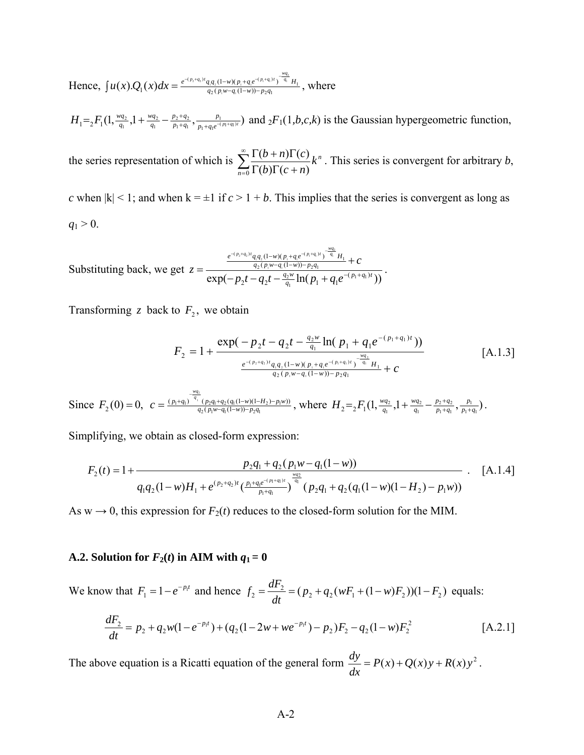Hence,  $\int u(x) \cdot Q_1(x) dx = \frac{e^{-(p_2+q_2)t} q_1 q_2 (1-w)(p_1+q_1 e^{-(p_1+q_1)t})^{q_1} H_1}{q_2(p_1 w-q_1 (1-w)) - p_2 q_1}$  $(p_1 w - q_1 (1 - w))$  $(1-w)( p + q e^{-(p_1+q_1)t})$  $\int u(x) \cdot Q_1(x) dx = \frac{e^{-(p_2+q_2)t} q_1 q_2 (1-w)(p_1+q_1e^{-(p_1+q_1)t})^{\frac{wq_2}{q_1}} H_1}{q_2(p_1w-q_1(1-w))-p_2q_1}$ , where

$$
H_1 = {}_2F_1(1, \frac{wq_2}{q_1}, 1 + \frac{wq_2}{q_1} - \frac{p_2 + q_2}{p_1 + q_1}, \frac{p_1}{p_1 + q_1 e^{-(p_1 + q_1)t}}) \text{ and } {}_2F_1(1, b, c, k) \text{ is the Gaussian hypergeometric function,}
$$

the series representation of which is  $\sum_{n=1}^{\infty}$  $\frac{1}{a-0}$  Γ(b)Γ(c +  $\Gamma(b+n)\Gamma$  $\int_0^1 \Gamma(b) \Gamma(c+n)$  $(b+n)\Gamma(c)$ *n*  $k<sup>n</sup>$  $b)$  $\Gamma(c + n)$  $\frac{(b+n)\Gamma(c)}{b+n}k^n$ . This series is convergent for arbitrary *b*,

*c* when  $|k|$  < 1; and when  $k = \pm 1$  if  $c > 1 + b$ . This implies that the series is convergent as long as  $q_1 > 0$ .

Substituting back, we get  $z = \frac{q_2(p_1w-q_1(1-w))-p_2q_1}{\exp(-p_2t-q_2t-\frac{q_2w}{q_1}\ln(p_1+q_1e^{-(p_1+q_1)t}))}$  $(p_1 w - q_1 (1 - w))$  $(1-w)( p_1+q_1e^{-(p_1+q_1)t})$  $1 + q_1$ 1 2  $2 (P_1 w - q_1 (1 - w)) - P_2 q_1$  $\frac{(p_2+q_2)t}{q_1q_2(1-w)(p_1+q_1e^{-(p_1+q_1)t})}$  at  $H_1$  $1''$   $41$  $\int_2^{p_1+q_2} q_1 q_2 (1-w)(p_1+q_1e^{-(p_1+q_1)t})^{-\frac{nq_2}{q_1}}$  $p_1 + q_1$ )*t q q w*  $q_2(p_1w-q_1(1-w)) - p_2q$  $e^{-(p_2+q_2)t}q_{,}q_{,}(1-w)(p_{,}+q_{,}e^{-(p_{,}+q_{,})t})$  *q<sub>i</sub> H*  $p_2 t - q_2 t - \frac{q_2 w}{q_1} \ln(p_1 + q_1 e)$ *c z*  $p_2 + q_2$   $\frac{1}{q_1}$   $\frac{wq}{q_2}$  *q*  $\frac{1}{q_1}$  $-(p_1 +$  $-q_1(1-w)$ )–  $-w$ )(p+  $-p_2 t - q_2 t - \frac{q_2 w}{a} \ln(p_1 +$  $=\frac{e^{-(p_2+q_2)t}q_{i}q_{j}(1-w)(p_{i}+q_{i}e^{-(p_{i}+q_{i})t})^{\frac{m_{q_2}}{q_{i}}}H_{1}}{q_{2}(p_{i}w-q_{i}(1-w))-p_{2}q_{1}}+$ .

Transforming *z* back to  $F_2$ , we obtain

$$
F_2 = 1 + \frac{\exp(-p_2 t - q_2 t - \frac{q_2 w}{q_1} \ln(p_1 + q_1 e^{-(p_1 + q_1)t}))}{\frac{e^{-(p_2 + q_2)t} q_1 q_2 (1 - w)(p_1 + q_1 e^{-(p_1 + q_1)t})}{q_2 (p_1 w - q_1 (1 - w)) - p_2 q_1} + c}
$$
 [A.1.3]

Since  $F_2(0) = 0$ ,  $c = \frac{(p_1+q_1)^{-1} \cdot (p_2q_1+q_2(q_1(1-w)(1-H_2)-p_1)}{q_2(p_1w-q_1(1-w))-p_2q_1}$  $\frac{q_1}{(p_1+q_1)}^{-\frac{mq_2}{q_1}}$   $\frac{q_2}{(p_2q_1+q_2(q_1(1-w)(1-H_2)-p_1w))}$  $q_2(p_1w-q_1(1-w)) - p_2q$  $p_1+q_1$ <sup>*y*<sub>*q*</sub></sup><sup>*q*</sup><sub>*y*</sub></sup>*(p<sub>2</sub>q<sub>1</sub>+q<sub>2</sub></del>(q<sub>1</sub>(1-w)(1-H<sub>2</sub>)-p<sub>1</sub>w*  $c = \frac{(p_1+q_1)^{\frac{-q_2}{q_1}}(p_2q_1+q_2(q_1(1-w)(1-H_2)-p_1w))}{q_2(p_1w-q_1(1-w))-p_2q_1}$ , where  $H_2 = {}_2F_1(1, \frac{wq_2}{q_1}, 1 + \frac{wq_2}{q_1} - \frac{p_2+q_2}{p_1+q_1}, \frac{p_1}{p_1+q_1})$  $1 + q_1$  $2 - 42$ 1 2 1  $\frac{1}{2} = \frac{1}{2} F_1 \left( 1, \frac{w q_2}{q_1}, 1 + \frac{w q_2}{q_1} - \frac{p_2 + q_2}{p_1 + q_1}, \frac{p_1}{p_1 + q_2} \right)$ *p*  $p_1 + q$  $p_2 + q$ *q wq*  $H_2 = {}_2F_1(1, \frac{wq_2}{q_1}, 1 + \frac{wq_2}{q_1} - \frac{p_2+q_2}{p_1+q_1}, \frac{p_1}{p_1+q_1}).$ 

Simplifying, we obtain as closed-form expression:

$$
F_2(t) = 1 + \frac{p_2 q_1 + q_2 (p_1 w - q_1 (1 - w))}{q_1 q_2 (1 - w) H_1 + e^{(p_2 + q_2)t} (\frac{p_1 + q_1 e^{-(p_1 + q_1)t}}{p_1 + q_1})^{\frac{wq_2}{q_1}}} \cdot [A.1.4]
$$
\n
$$
(p_2 q_1 + q_2 (q_1 (1 - w) (1 - H_2) - p_1 w))
$$

As  $w \rightarrow 0$ , this expression for  $F_2(t)$  reduces to the closed-form solution for the MIM.

### **A.2. Solution for**  $F_2(t)$  **in AIM with**  $q_1 = 0$

We know that  $F_1 = 1 - e^{-p_1 t}$  and hence  $f_2 = \frac{dr_2}{dt} = (p_2 + q_2(wF_1 + (1 - w)F_2))(1 - F_2)$  $f_2 = \frac{dF_2}{dt} = (p_2 + q_2(wF_1 + (1 - w)F_2))(1 - F_2)$  equals: 2  $\frac{2}{n} = p_2 + q_2 w(1 - e^{-p_1 t}) + (q_2 (1 - 2w + w e^{-p_1 t}) - p_2) F_2 - q_2 (1 - w) F_2$ *dt*  $\frac{dF_2}{dt} = p_2 + q_2 w (1 - e^{-p_1 t}) + (q_2 (1 - 2w + w e^{-p_1 t}) - p_2) F_2 - q_2 (1 - w) F_2^2$  [A.2.1]

The above equation is a Ricatti equation of the general form  $\frac{dy}{dx} = P(x) + Q(x)y + R(x)y^2$ .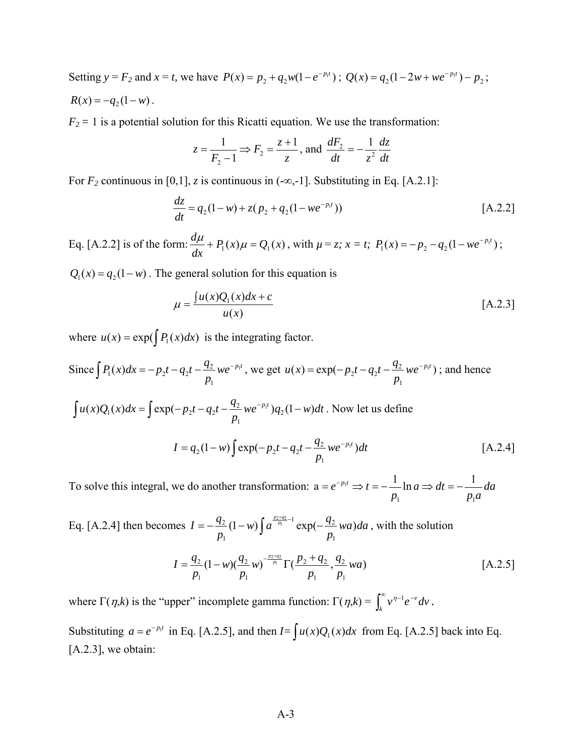Setting  $y = F_2$  and  $x = t$ , we have  $P(x) = p_2 + q_2w(1 - e^{-p_1t})$ ;  $Q(x) = q_2(1 - 2w + we^{-p_1t}) - p_2$ ;  $R(x) = -q_2 (1 - w)$ .

 $F_2 = 1$  is a potential solution for this Ricatti equation. We use the transformation:

$$
z = \frac{1}{F_2 - 1}
$$
  $\Rightarrow$   $F_2 = \frac{z+1}{z}$ , and  $\frac{dF_2}{dt} = -\frac{1}{z^2} \frac{dz}{dt}$ 

For  $F_2$  continuous in [0,1], *z* is continuous in (-∞,-1]. Substituting in Eq. [A.2.1]:

$$
\frac{dz}{dt} = q_2(1 - w) + z(p_2 + q_2(1 - we^{-p_1 t}))
$$
 [A.2.2]

Eq. [A.2.2] is of the form:  $\frac{d\mu}{dx} + P_1(x)\mu = Q_1(x)$  $\frac{d\mu}{dt}$  +  $P_1(x)\mu = Q_1(x)$ , with  $\mu = z$ ;  $x = t$ ;  $P_1(x) = -p_2 - q_2(1 - we^{-p_1 t})$ ;

 $Q_1(x) = q_2(1 - w)$ . The general solution for this equation is

$$
\mu = \frac{\int u(x)Q_1(x)dx + c}{u(x)}
$$
 [A.2.3]

1  $P_1$ 

where  $u(x) = \exp(\int P_1(x) dx)$  is the integrating factor.

Since 
$$
\int P_1(x)dx = -p_2t - q_2t - \frac{q_2}{p_1}we^{-p_1t}
$$
, we get  $u(x) = \exp(-p_2t - q_2t - \frac{q_2}{p_1}we^{-p_1t})$ ; and hence

 $we^{-p_1t}$ ) $q_2(1-w)dt$  $u(x)Q_1(x)dx = \int \exp(-p_2t - q_2t - \frac{q_2}{p_1}we^{-p_1t})q_2(1-w)$ 1  $\int u(x)Q_1(x)dx = \int \exp(-p_2t - q_2t - \frac{q_2}{n}we^{-pt})q_2(1-w)dt$ . Now let us define  $we^{-p_1t}$ ) $dt$  $I = q_2(1 - w) \int \exp(-p_2 t - q_2 t - \frac{q_2}{2} w e^{-p_1 t})$  $= q_2(1-w) \int \exp(-p_2 t - q_2 t - \frac{q_2}{p} w e^{-p_1 t}) dt$  [A.2.4]

*p* 1 To solve this integral, we do another transformation:  $a = e^{-p_1 t} \Rightarrow t = -\frac{1}{\pm} \ln a \Rightarrow dt = -\frac{1}{\pm} da$  $p_1 a$  $a \Rightarrow dt$ *p*  $e^{-p_1t} \Rightarrow t$  $a = e^{-p_1 t} \Rightarrow t = -\frac{1}{\ln a} \Rightarrow dt = -\frac{1}{\ln a}$ 

Eq. [A.2.4] then becomes  $I = -\frac{42}{2}(1-w) \int_{a}^{a} \frac{1}{r} \exp(-\frac{42}{3}wa) da$ *p w*)  $\int_{0}^{a} \frac{p_2+q_2}{p_1}-1$  exp( $-\frac{q}{q_2}$ *p*  $I = -\frac{q_2}{p_1} (1 - w) \int_a^{\frac{p_2+q_2}{p_1}-1} \exp(-\frac{q_2}{p_1}wa)$ 1  $\frac{1}{2}$  avn(  $q_2$ 1  $=-\frac{q_2}{n}(1-w)\int a^{\frac{p_2+q_2}{p_1}-1} \exp(-\frac{q_2}{n}wa)da$ , with the solution  $(1 - w)(\frac{42}{\mu})^{\frac{1}{\mu}} \Gamma(\frac{P_2 + q_2}{\mu}, \frac{q_2}{\mu}wa)$ 2  $2 + 42$ 2  $\frac{2}{(1-w)}(\frac{q_2}{w})^{-\frac{p_2+q_2}{p_1}}\Gamma(\frac{p_2+q_2}{w},\frac{q_2}{w}$ *q w*)<sup> $-\frac{p_2+q_2}{p_1}$   $\Gamma(\frac{p_2+q_1}{p_2+q_1})$ </sup>  $(w)(\frac{q}{q})$  $I = \frac{q_2}{(1-w)(\frac{q_2}{w})^{ -\frac{p_2+q_2}{p_1}} } \Gamma(\frac{p_2 + q_1}{p_2})$ [A.2.5]

1 1 1 1 *p p p p* where  $\Gamma(\eta,k)$  is the "upper" incomplete gamma function:  $\Gamma(\eta,k) = \int_{k}^{\infty} v^{\eta-1} e^{-v} dv$  $\int_k^{\infty} v^{\eta-1} e^{-v} dv$ .

Substituting  $a = e^{-p_1 t}$  in Eq. [A.2.5], and then  $I = \int u(x)Q_1(x)dx$  from Eq. [A.2.5] back into Eq.  $[A.2.3]$ , we obtain: